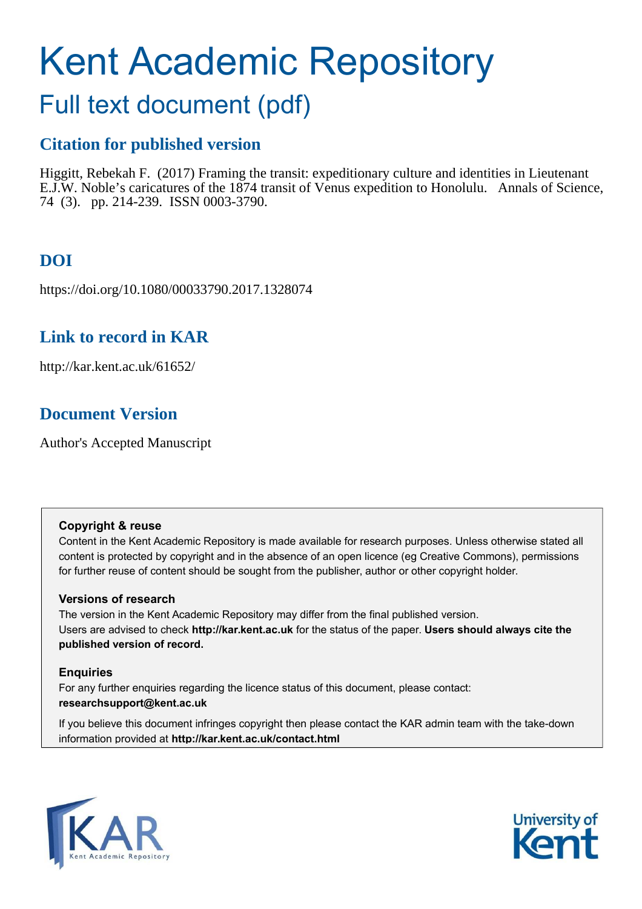# Kent Academic Repository

## Full text document (pdf)

## **Citation for published version**

Higgitt, Rebekah F. (2017) Framing the transit: expeditionary culture and identities in Lieutenant E.J.W. Noble's caricatures of the 1874 transit of Venus expedition to Honolulu. Annals of Science, 74 (3). pp. 214-239. ISSN 0003-3790.

## **DOI**

https://doi.org/10.1080/00033790.2017.1328074

## **Link to record in KAR**

http://kar.kent.ac.uk/61652/

## **Document Version**

Author's Accepted Manuscript

#### **Copyright & reuse**

Content in the Kent Academic Repository is made available for research purposes. Unless otherwise stated all content is protected by copyright and in the absence of an open licence (eg Creative Commons), permissions for further reuse of content should be sought from the publisher, author or other copyright holder.

#### **Versions of research**

The version in the Kent Academic Repository may differ from the final published version. Users are advised to check **http://kar.kent.ac.uk** for the status of the paper. **Users should always cite the published version of record.**

#### **Enquiries**

For any further enquiries regarding the licence status of this document, please contact: **researchsupport@kent.ac.uk**

If you believe this document infringes copyright then please contact the KAR admin team with the take-down information provided at **http://kar.kent.ac.uk/contact.html**



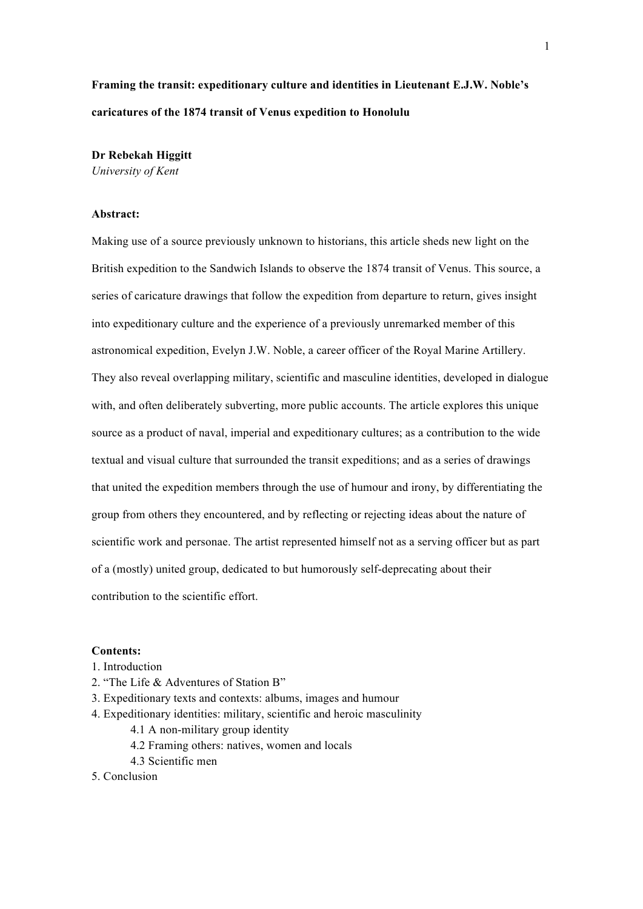### **Framing the transit: expeditionary culture and identities in Lieutenant E.J.W. Noble's caricatures of the 1874 transit of Venus expedition to Honolulu**

## **Dr Rebekah Higgitt**

*University of Kent*

#### **Abstract:**

Making use of a source previously unknown to historians, this article sheds new light on the British expedition to the Sandwich Islands to observe the 1874 transit of Venus. This source, a series of caricature drawings that follow the expedition from departure to return, gives insight into expeditionary culture and the experience of a previously unremarked member of this astronomical expedition, Evelyn J.W. Noble, a career officer of the Royal Marine Artillery. They also reveal overlapping military, scientific and masculine identities, developed in dialogue with, and often deliberately subverting, more public accounts. The article explores this unique source as a product of naval, imperial and expeditionary cultures; as a contribution to the wide textual and visual culture that surrounded the transit expeditions; and as a series of drawings that united the expedition members through the use of humour and irony, by differentiating the group from others they encountered, and by reflecting or rejecting ideas about the nature of scientific work and personae. The artist represented himself not as a serving officer but as part of a (mostly) united group, dedicated to but humorously self-deprecating about their contribution to the scientific effort.

#### **Contents:**

#### 1. Introduction

- 2. "The Life & Adventures of Station B"
- 3. Expeditionary texts and contexts: albums, images and humour
- 4. Expeditionary identities: military, scientific and heroic masculinity
	- 4.1 A non-military group identity
	- 4.2 Framing others: natives, women and locals
	- 4.3 Scientific men
- 5. Conclusion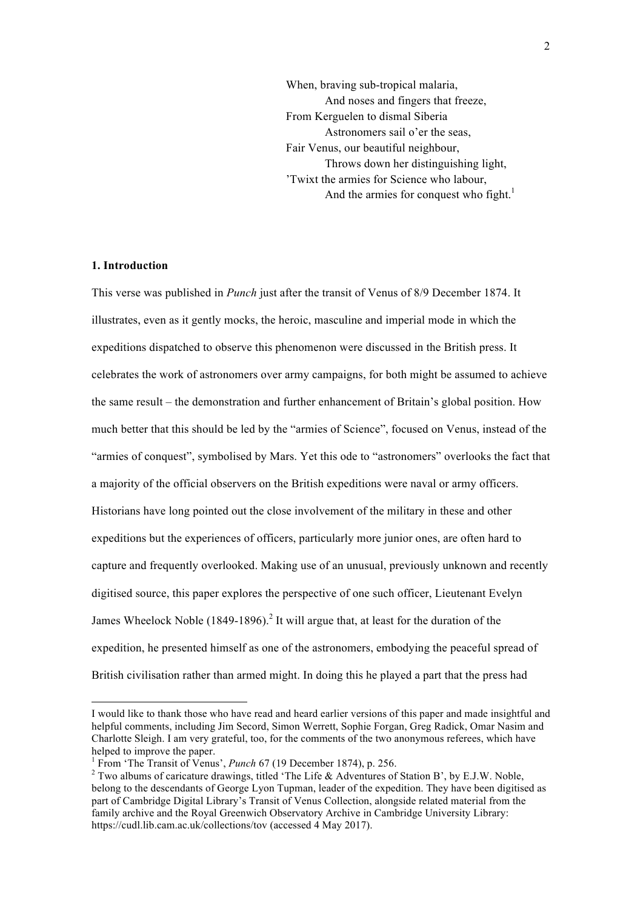When, braving sub-tropical malaria, And noses and fingers that freeze, From Kerguelen to dismal Siberia Astronomers sail o'er the seas, Fair Venus, our beautiful neighbour, Throws down her distinguishing light, 'Twixt the armies for Science who labour, And the armies for conquest who fight.<sup>1</sup>

#### **1. Introduction**

This verse was published in *Punch* just after the transit of Venus of 8/9 December 1874. It illustrates, even as it gently mocks, the heroic, masculine and imperial mode in which the expeditions dispatched to observe this phenomenon were discussed in the British press. It celebrates the work of astronomers over army campaigns, for both might be assumed to achieve the same result – the demonstration and further enhancement of Britain's global position. How much better that this should be led by the "armies of Science", focused on Venus, instead of the "armies of conquest", symbolised by Mars. Yet this ode to "astronomers" overlooks the fact that a majority of the official observers on the British expeditions were naval or army officers. Historians have long pointed out the close involvement of the military in these and other expeditions but the experiences of officers, particularly more junior ones, are often hard to capture and frequently overlooked. Making use of an unusual, previously unknown and recently digitised source, this paper explores the perspective of one such officer, Lieutenant Evelyn James Wheelock Noble  $(1849-1896)$ .<sup>2</sup> It will argue that, at least for the duration of the expedition, he presented himself as one of the astronomers, embodying the peaceful spread of British civilisation rather than armed might. In doing this he played a part that the press had

I would like to thank those who have read and heard earlier versions of this paper and made insightful and helpful comments, including Jim Secord, Simon Werrett, Sophie Forgan, Greg Radick, Omar Nasim and Charlotte Sleigh. I am very grateful, too, for the comments of the two anonymous referees, which have helped to improve the paper.

<sup>&</sup>lt;sup>1</sup> From 'The Transit of Venus', *Punch* 67 (19 December 1874), p. 256.

<sup>&</sup>lt;sup>2</sup> Two albums of caricature drawings, titled 'The Life & Adventures of Station B', by E.J.W. Noble, belong to the descendants of George Lyon Tupman, leader of the expedition. They have been digitised as part of Cambridge Digital Library's Transit of Venus Collection, alongside related material from the family archive and the Royal Greenwich Observatory Archive in Cambridge University Library: https://cudl.lib.cam.ac.uk/collections/tov (accessed 4 May 2017).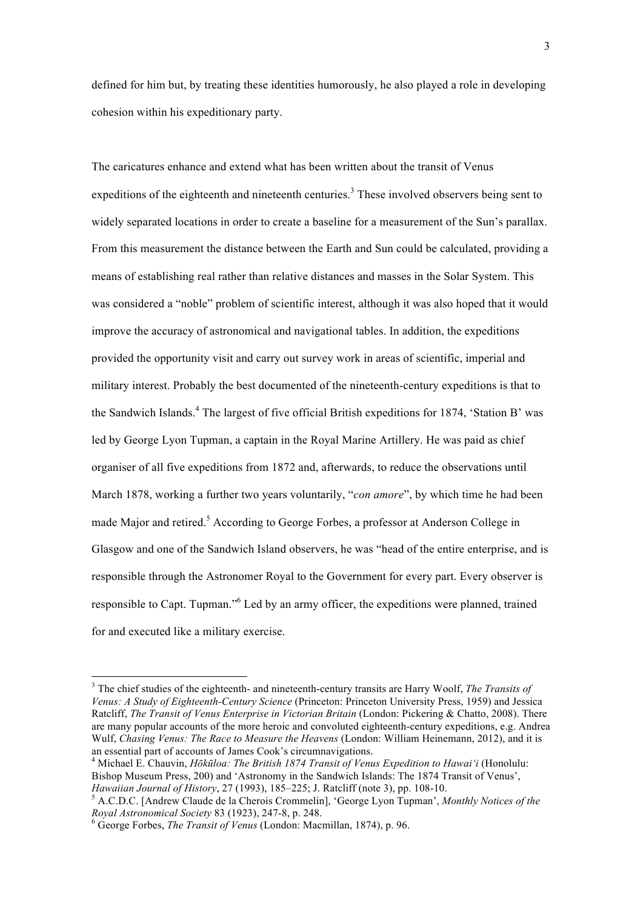defined for him but, by treating these identities humorously, he also played a role in developing cohesion within his expeditionary party.

The caricatures enhance and extend what has been written about the transit of Venus expeditions of the eighteenth and nineteenth centuries.<sup>3</sup> These involved observers being sent to widely separated locations in order to create a baseline for a measurement of the Sun's parallax. From this measurement the distance between the Earth and Sun could be calculated, providing a means of establishing real rather than relative distances and masses in the Solar System. This was considered a "noble" problem of scientific interest, although it was also hoped that it would improve the accuracy of astronomical and navigational tables. In addition, the expeditions provided the opportunity visit and carry out survey work in areas of scientific, imperial and military interest. Probably the best documented of the nineteenth-century expeditions is that to the Sandwich Islands.<sup>4</sup> The largest of five official British expeditions for 1874, 'Station B' was led by George Lyon Tupman, a captain in the Royal Marine Artillery. He was paid as chief organiser of all five expeditions from 1872 and, afterwards, to reduce the observations until March 1878, working a further two years voluntarily, "*con amore*", by which time he had been made Major and retired.<sup>5</sup> According to George Forbes, a professor at Anderson College in Glasgow and one of the Sandwich Island observers, he was "head of the entire enterprise, and is responsible through the Astronomer Royal to the Government for every part. Every observer is responsible to Capt. Tupman."<sup>6</sup> Led by an army officer, the expeditions were planned, trained for and executed like a military exercise.

<sup>3</sup> The chief studies of the eighteenth- and nineteenth-century transits are Harry Woolf, *The Transits of Venus: A Study of Eighteenth-Century Science* (Princeton: Princeton University Press, 1959) and Jessica Ratcliff, *The Transit of Venus Enterprise in Victorian Britain* (London: Pickering & Chatto, 2008). There are many popular accounts of the more heroic and convoluted eighteenth-century expeditions, e.g. Andrea Wulf, *Chasing Venus: The Race to Measure the Heavens* (London: William Heinemann, 2012), and it is an essential part of accounts of James Cook's circumnavigations.

<sup>4</sup> Michael E. Chauvin, *Hōkūloa: The British 1874 Transit of Venus Expedition to Hawai'i* (Honolulu: Bishop Museum Press, 200) and 'Astronomy in the Sandwich Islands: The 1874 Transit of Venus', *Hawaiian Journal of History*, 27 (1993), 185–225; J. Ratcliff (note 3), pp. 108-10.

<sup>5</sup> A.C.D.C. [Andrew Claude de la Cherois Crommelin], 'George Lyon Tupman', *Monthly Notices of the Royal Astronomical Society* 83 (1923), 247-8, p. 248.

<sup>6</sup> George Forbes, *The Transit of Venus* (London: Macmillan, 1874), p. 96.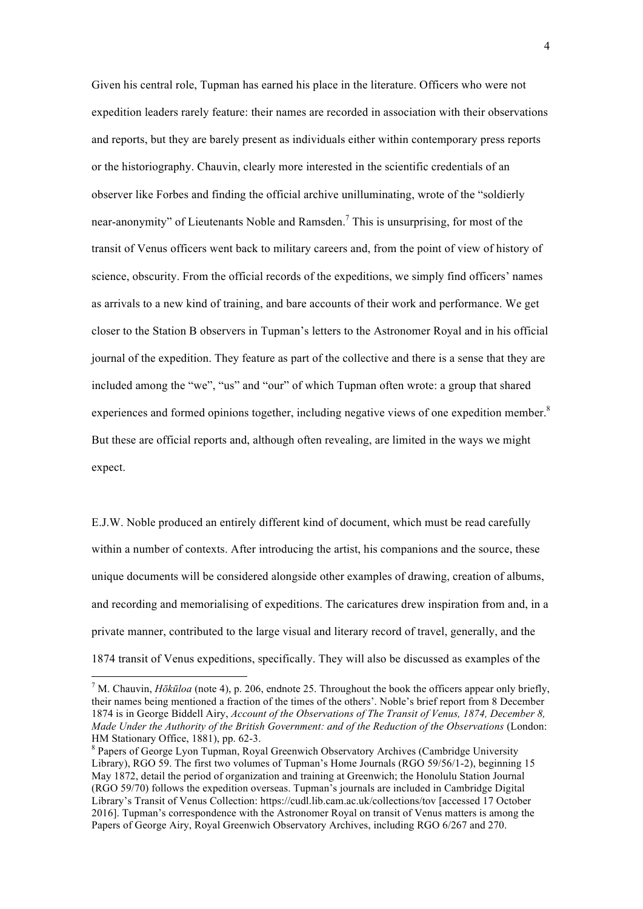Given his central role, Tupman has earned his place in the literature. Officers who were not expedition leaders rarely feature: their names are recorded in association with their observations and reports, but they are barely present as individuals either within contemporary press reports or the historiography. Chauvin, clearly more interested in the scientific credentials of an observer like Forbes and finding the official archive unilluminating, wrote of the "soldierly near-anonymity" of Lieutenants Noble and Ramsden.<sup>7</sup> This is unsurprising, for most of the transit of Venus officers went back to military careers and, from the point of view of history of science, obscurity. From the official records of the expeditions, we simply find officers' names as arrivals to a new kind of training, and bare accounts of their work and performance. We get closer to the Station B observers in Tupman's letters to the Astronomer Royal and in his official journal of the expedition. They feature as part of the collective and there is a sense that they are included among the "we", "us" and "our" of which Tupman often wrote: a group that shared experiences and formed opinions together, including negative views of one expedition member.<sup>8</sup> But these are official reports and, although often revealing, are limited in the ways we might expect.

E.J.W. Noble produced an entirely different kind of document, which must be read carefully within a number of contexts. After introducing the artist, his companions and the source, these unique documents will be considered alongside other examples of drawing, creation of albums, and recording and memorialising of expeditions. The caricatures drew inspiration from and, in a private manner, contributed to the large visual and literary record of travel, generally, and the 1874 transit of Venus expeditions, specifically. They will also be discussed as examples of the

<sup>7</sup> M. Chauvin, *Hōkūloa* (note 4), p. 206, endnote 25. Throughout the book the officers appear only briefly, their names being mentioned a fraction of the times of the others'. Noble's brief report from 8 December 1874 is in George Biddell Airy, *Account of the Observations of The Transit of Venus, 1874, December 8, Made Under the Authority of the British Government: and of the Reduction of the Observations* (London: HM Stationary Office, 1881), pp. 62-3.

<sup>&</sup>lt;sup>8</sup> Papers of George Lyon Tupman, Royal Greenwich Observatory Archives (Cambridge University Library), RGO 59. The first two volumes of Tupman's Home Journals (RGO 59/56/1-2), beginning 15 May 1872, detail the period of organization and training at Greenwich; the Honolulu Station Journal (RGO 59/70) follows the expedition overseas. Tupman's journals are included in Cambridge Digital Library's Transit of Venus Collection: https://cudl.lib.cam.ac.uk/collections/tov [accessed 17 October 2016]. Tupman's correspondence with the Astronomer Royal on transit of Venus matters is among the Papers of George Airy, Royal Greenwich Observatory Archives, including RGO 6/267 and 270.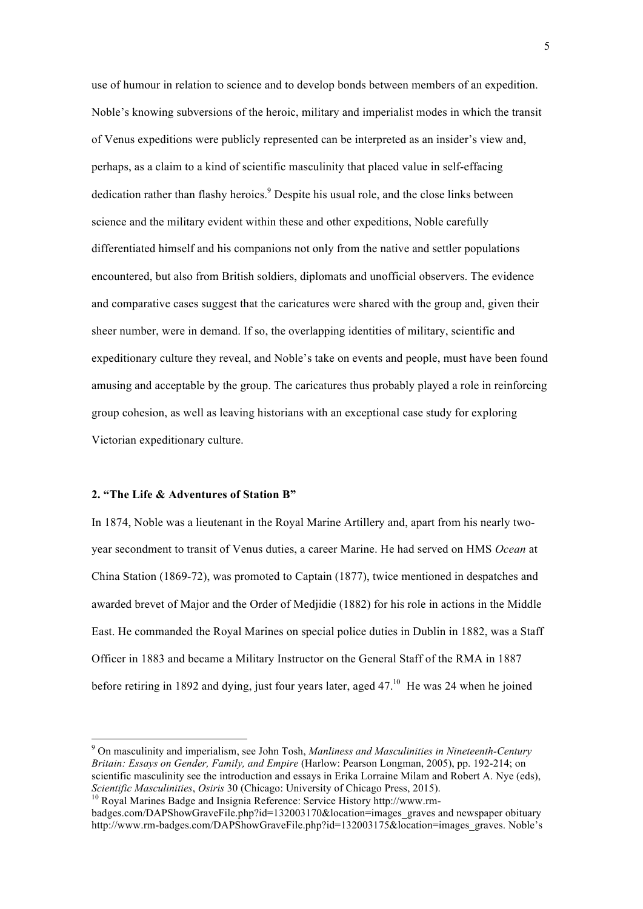use of humour in relation to science and to develop bonds between members of an expedition. Noble's knowing subversions of the heroic, military and imperialist modes in which the transit of Venus expeditions were publicly represented can be interpreted as an insider's view and, perhaps, as a claim to a kind of scientific masculinity that placed value in self-effacing dedication rather than flashy heroics.<sup>9</sup> Despite his usual role, and the close links between science and the military evident within these and other expeditions, Noble carefully differentiated himself and his companions not only from the native and settler populations encountered, but also from British soldiers, diplomats and unofficial observers. The evidence and comparative cases suggest that the caricatures were shared with the group and, given their sheer number, were in demand. If so, the overlapping identities of military, scientific and expeditionary culture they reveal, and Noble's take on events and people, must have been found amusing and acceptable by the group. The caricatures thus probably played a role in reinforcing group cohesion, as well as leaving historians with an exceptional case study for exploring Victorian expeditionary culture.

#### **2. "The Life & Adventures of Station B"**

!!!!!!!!!!!!!!!!!!!!!!!!!!!!!!!!!!!!!!!!!!!!!!!!!!!!!!!

In 1874, Noble was a lieutenant in the Royal Marine Artillery and, apart from his nearly twoyear secondment to transit of Venus duties, a career Marine. He had served on HMS *Ocean* at China Station (1869-72), was promoted to Captain (1877), twice mentioned in despatches and awarded brevet of Major and the Order of Medjidie (1882) for his role in actions in the Middle East. He commanded the Royal Marines on special police duties in Dublin in 1882, was a Staff Officer in 1883 and became a Military Instructor on the General Staff of the RMA in 1887 before retiring in 1892 and dying, just four years later, aged  $47<sup>10</sup>$  He was 24 when he joined

<sup>9</sup> On masculinity and imperialism, see John Tosh, *Manliness and Masculinities in Nineteenth-Century Britain: Essays on Gender, Family, and Empire* (Harlow: Pearson Longman, 2005), pp. 192-214; on scientific masculinity see the introduction and essays in Erika Lorraine Milam and Robert A. Nye (eds), *Scientific Masculinities*, *Osiris* 30 (Chicago: University of Chicago Press, 2015).

<sup>10</sup> Royal Marines Badge and Insignia Reference: Service History http://www.rm-

badges.com/DAPShowGraveFile.php?id=132003170&location=images\_graves and newspaper obituary http://www.rm-badges.com/DAPShowGraveFile.php?id=132003175&location=images\_graves. Noble's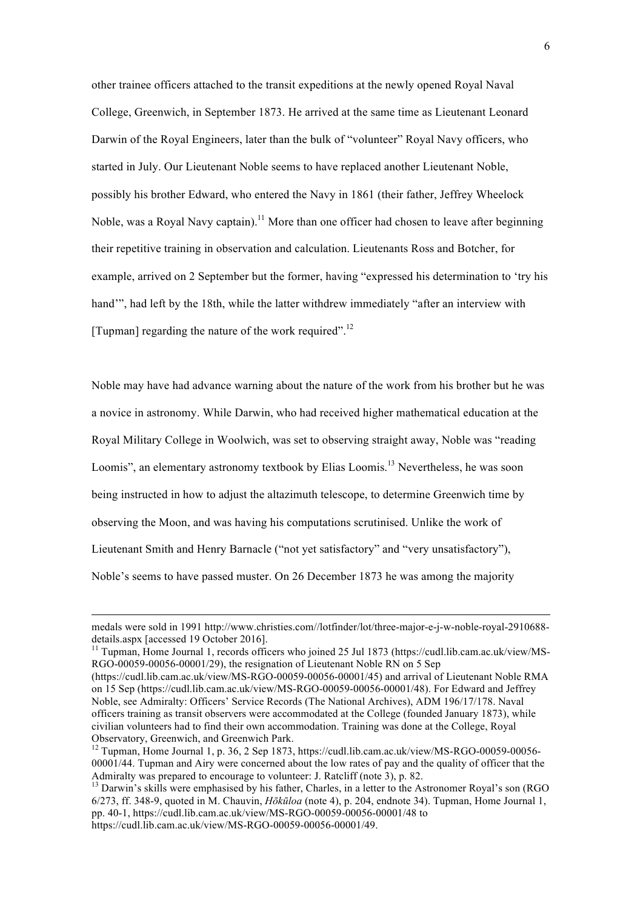other trainee officers attached to the transit expeditions at the newly opened Royal Naval College, Greenwich, in September 1873. He arrived at the same time as Lieutenant Leonard Darwin of the Royal Engineers, later than the bulk of "volunteer" Royal Navy officers, who started in July. Our Lieutenant Noble seems to have replaced another Lieutenant Noble, possibly his brother Edward, who entered the Navy in 1861 (their father, Jeffrey Wheelock Noble, was a Royal Navy captain).<sup>11</sup> More than one officer had chosen to leave after beginning their repetitive training in observation and calculation. Lieutenants Ross and Botcher, for example, arrived on 2 September but the former, having "expressed his determination to 'try his hand'", had left by the 18th, while the latter withdrew immediately "after an interview with [Tupman] regarding the nature of the work required".<sup>12</sup>

Noble may have had advance warning about the nature of the work from his brother but he was a novice in astronomy. While Darwin, who had received higher mathematical education at the Royal Military College in Woolwich, was set to observing straight away, Noble was "reading Loomis", an elementary astronomy textbook by Elias Loomis.<sup>13</sup> Nevertheless, he was soon being instructed in how to adjust the altazimuth telescope, to determine Greenwich time by observing the Moon, and was having his computations scrutinised. Unlike the work of Lieutenant Smith and Henry Barnacle ("not yet satisfactory" and "very unsatisfactory"), Noble's seems to have passed muster. On 26 December 1873 he was among the majority

!!!!!!!!!!!!!!!!!!!!!!!!!!!!!!!!!!!!!!!!!!!!!!!!!!!!!!!!!!!!!!!!!!!!!!!!!!!!!!!!!!!!!!!!!!!!!!!!!!!!!!!!!!!!!!!!!!!!!!!!!!!!!!!!!!!!!!!!!!!!!!!!!!!!!!!!!!!!!!!!

<sup>11</sup> Tupman, Home Journal 1, records officers who joined 25 Jul 1873 (https://cudl.lib.cam.ac.uk/view/MS-RGO-00059-00056-00001/29), the resignation of Lieutenant Noble RN on 5 Sep

medals were sold in 1991 http://www.christies.com//lotfinder/lot/three-major-e-j-w-noble-royal-2910688 details.aspx [accessed 19 October 2016].

<sup>(</sup>https://cudl.lib.cam.ac.uk/view/MS-RGO-00059-00056-00001/45) and arrival of Lieutenant Noble RMA on 15 Sep (https://cudl.lib.cam.ac.uk/view/MS-RGO-00059-00056-00001/48). For Edward and Jeffrey Noble, see Admiralty: Officers' Service Records (The National Archives), ADM 196/17/178. Naval officers training as transit observers were accommodated at the College (founded January 1873), while civilian volunteers had to find their own accommodation. Training was done at the College, Royal Observatory, Greenwich, and Greenwich Park.

<sup>12</sup> Tupman, Home Journal 1, p. 36, 2 Sep 1873, https://cudl.lib.cam.ac.uk/view/MS-RGO-00059-00056- 00001/44. Tupman and Airy were concerned about the low rates of pay and the quality of officer that the Admiralty was prepared to encourage to volunteer: J. Ratcliff (note 3), p. 82.

<sup>&</sup>lt;sup>13</sup> Darwin's skills were emphasised by his father, Charles, in a letter to the Astronomer Royal's son (RGO) 6/273, ff. 348-9, quoted in M. Chauvin, *Hōkūloa* (note 4), p. 204, endnote 34). Tupman, Home Journal 1, pp. 40-1, https://cudl.lib.cam.ac.uk/view/MS-RGO-00059-00056-00001/48 to https://cudl.lib.cam.ac.uk/view/MS-RGO-00059-00056-00001/49.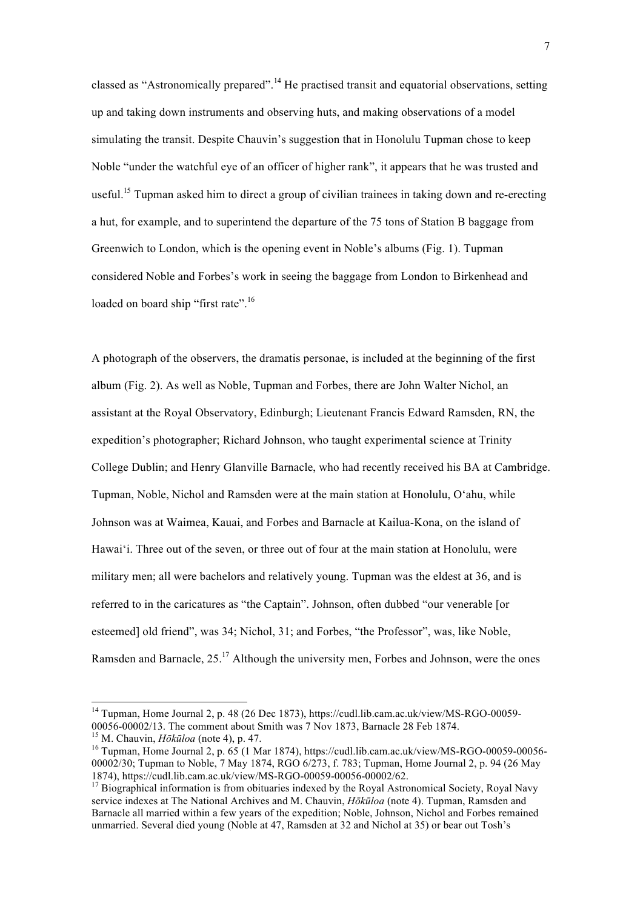classed as "Astronomically prepared".<sup>14</sup> He practised transit and equatorial observations, setting up and taking down instruments and observing huts, and making observations of a model simulating the transit. Despite Chauvin's suggestion that in Honolulu Tupman chose to keep Noble "under the watchful eye of an officer of higher rank", it appears that he was trusted and useful.<sup>15</sup> Tupman asked him to direct a group of civilian trainees in taking down and re-erecting a hut, for example, and to superintend the departure of the 75 tons of Station B baggage from Greenwich to London, which is the opening event in Noble's albums (Fig. 1). Tupman considered Noble and Forbes's work in seeing the baggage from London to Birkenhead and loaded on board ship "first rate".<sup>16</sup>

A photograph of the observers, the dramatis personae, is included at the beginning of the first album (Fig. 2). As well as Noble, Tupman and Forbes, there are John Walter Nichol, an assistant at the Royal Observatory, Edinburgh; Lieutenant Francis Edward Ramsden, RN, the expedition's photographer; Richard Johnson, who taught experimental science at Trinity College Dublin; and Henry Glanville Barnacle, who had recently received his BA at Cambridge. Tupman, Noble, Nichol and Ramsden were at the main station at Honolulu, O'ahu, while Johnson was at Waimea, Kauai, and Forbes and Barnacle at Kailua-Kona, on the island of Hawai'i. Three out of the seven, or three out of four at the main station at Honolulu, were military men; all were bachelors and relatively young. Tupman was the eldest at 36, and is referred to in the caricatures as "the Captain". Johnson, often dubbed "our venerable [or esteemed] old friend", was 34; Nichol, 31; and Forbes, "the Professor", was, like Noble, Ramsden and Barnacle, 25.<sup>17</sup> Although the university men, Forbes and Johnson, were the ones

<sup>&</sup>lt;sup>14</sup> Tupman, Home Journal 2, p. 48 (26 Dec 1873), https://cudl.lib.cam.ac.uk/view/MS-RGO-00059-00056-00002/13. The comment about Smith was 7 Nov 1873, Barnacle 28 Feb 1874.

<sup>15</sup> M. Chauvin, *Hōkūloa* (note 4), p. 47.

<sup>16</sup> Tupman, Home Journal 2, p. 65 (1 Mar 1874), https://cudl.lib.cam.ac.uk/view/MS-RGO-00059-00056- 00002/30; Tupman to Noble, 7 May 1874, RGO 6/273, f. 783; Tupman, Home Journal 2, p. 94 (26 May 1874), https://cudl.lib.cam.ac.uk/view/MS-RGO-00059-00056-00002/62.

<sup>&</sup>lt;sup>17</sup> Biographical information is from obituaries indexed by the Royal Astronomical Society, Royal Navy service indexes at The National Archives and M. Chauvin, *Hōkūloa* (note 4). Tupman, Ramsden and Barnacle all married within a few years of the expedition; Noble, Johnson, Nichol and Forbes remained unmarried. Several died young (Noble at 47, Ramsden at 32 and Nichol at 35) or bear out Tosh's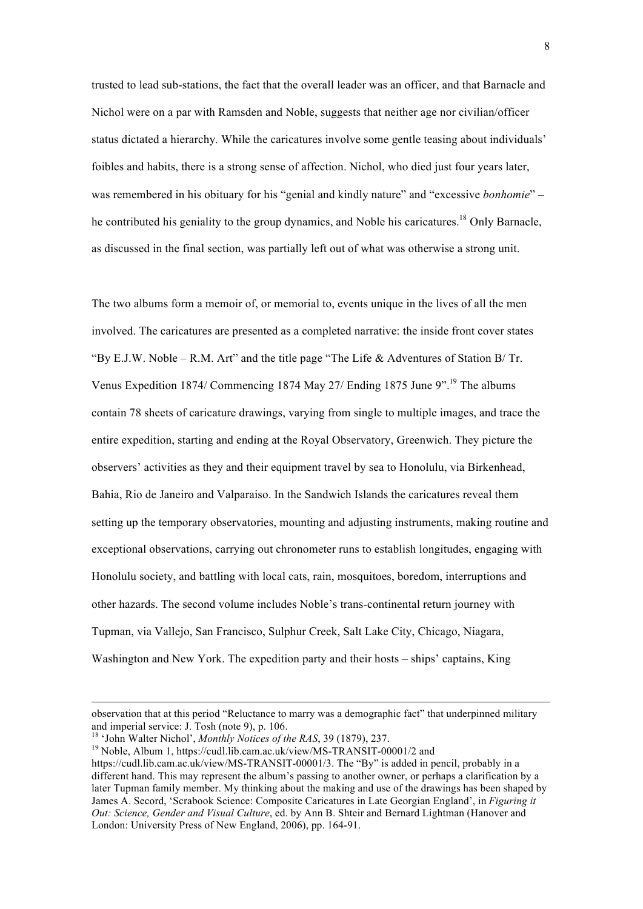trusted to lead sub-stations, the fact that the overall leader was an officer, and that Barnacle and Nichol were on a par with Ramsden and Noble, suggests that neither age nor civilian/officer status dictated a hierarchy. While the caricatures involve some gentle teasing about individuals' foibles and habits, there is a strong sense of affection. Nichol, who died just four years later, was remembered in his obituary for his "genial and kindly nature" and "excessive *bonhomie*" – he contributed his geniality to the group dynamics, and Noble his caricatures.<sup>18</sup> Only Barnacle, as discussed in the final section, was partially left out of what was otherwise a strong unit.

The two albums form a memoir of, or memorial to, events unique in the lives of all the men involved. The caricatures are presented as a completed narrative: the inside front cover states "By E.J.W. Noble – R.M. Art" and the title page "The Life & Adventures of Station B/ Tr. Venus Expedition 1874/ Commencing 1874 May 27/ Ending 1875 June 9".<sup>19</sup> The albums contain 78 sheets of caricature drawings, varying from single to multiple images, and trace the entire expedition, starting and ending at the Royal Observatory, Greenwich. They picture the observers' activities as they and their equipment travel by sea to Honolulu, via Birkenhead, Bahia, Rio de Janeiro and Valparaiso. In the Sandwich Islands the caricatures reveal them setting up the temporary observatories, mounting and adjusting instruments, making routine and exceptional observations, carrying out chronometer runs to establish longitudes, engaging with Honolulu society, and battling with local cats, rain, mosquitoes, boredom, interruptions and other hazards. The second volume includes Noble's trans-continental return journey with Tupman, via Vallejo, San Francisco, Sulphur Creek, Salt Lake City, Chicago, Niagara, Washington and New York. The expedition party and their hosts – ships' captains, King

!!!!!!!!!!!!!!!!!!!!!!!!!!!!!!!!!!!!!!!!!!!!!!!!!!!!!!!!!!!!!!!!!!!!!!!!!!!!!!!!!!!!!!!!!!!!!!!!!!!!!!!!!!!!!!!!!!!!!!!!!!!!!!!!!!!!!!!!!!!!!!!!!!!!!!!!!!!!!!!!

observation that at this period "Reluctance to marry was a demographic fact" that underpinned military and imperial service: J. Tosh (note 9), p. 106.

<sup>18</sup> 'John Walter Nichol', *Monthly Notices of the RAS*, 39 (1879), 237.

<sup>&</sup>lt;sup>19</sup> Noble, Album 1, https://cudl.lib.cam.ac.uk/view/MS-TRANSIT-00001/2 and

https://cudl.lib.cam.ac.uk/view/MS-TRANSIT-00001/3. The "By" is added in pencil, probably in a different hand. This may represent the album's passing to another owner, or perhaps a clarification by a later Tupman family member. My thinking about the making and use of the drawings has been shaped by James A. Secord, 'Scrabook Science: Composite Caricatures in Late Georgian England', in *Figuring it Out: Science, Gender and Visual Culture*, ed. by Ann B. Shteir and Bernard Lightman (Hanover and London: University Press of New England, 2006), pp. 164-91.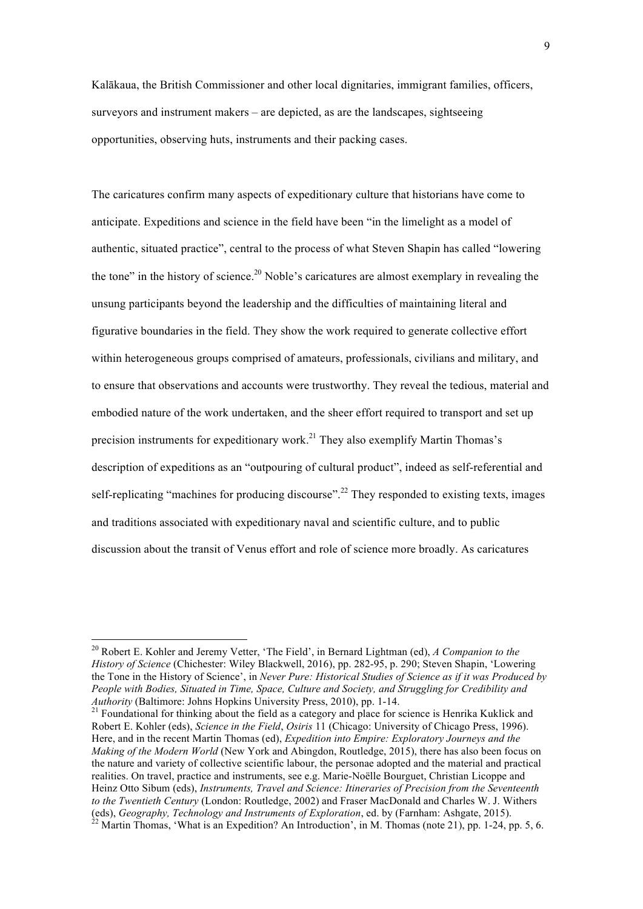Kalākaua, the British Commissioner and other local dignitaries, immigrant families, officers, surveyors and instrument makers – are depicted, as are the landscapes, sightseeing opportunities, observing huts, instruments and their packing cases.

The caricatures confirm many aspects of expeditionary culture that historians have come to anticipate. Expeditions and science in the field have been "in the limelight as a model of authentic, situated practice", central to the process of what Steven Shapin has called "lowering the tone" in the history of science.<sup>20</sup> Noble's caricatures are almost exemplary in revealing the unsung participants beyond the leadership and the difficulties of maintaining literal and figurative boundaries in the field. They show the work required to generate collective effort within heterogeneous groups comprised of amateurs, professionals, civilians and military, and to ensure that observations and accounts were trustworthy. They reveal the tedious, material and embodied nature of the work undertaken, and the sheer effort required to transport and set up precision instruments for expeditionary work.<sup>21</sup> They also exemplify Martin Thomas's description of expeditions as an "outpouring of cultural product", indeed as self-referential and self-replicating "machines for producing discourse".<sup>22</sup> They responded to existing texts, images and traditions associated with expeditionary naval and scientific culture, and to public discussion about the transit of Venus effort and role of science more broadly. As caricatures

<sup>20</sup> Robert E. Kohler and Jeremy Vetter, 'The Field', in Bernard Lightman (ed), *A Companion to the History of Science* (Chichester: Wiley Blackwell, 2016), pp. 282-95, p. 290; Steven Shapin, 'Lowering the Tone in the History of Science', in *Never Pure: Historical Studies of Science as if it was Produced by People with Bodies, Situated in Time, Space, Culture and Society, and Struggling for Credibility and Authority* (Baltimore: Johns Hopkins University Press, 2010), pp. 1-14.

<sup>&</sup>lt;sup>21</sup> Foundational for thinking about the field as a category and place for science is Henrika Kuklick and Robert E. Kohler (eds), *Science in the Field*, *Osiris* 11 (Chicago: University of Chicago Press, 1996). Here, and in the recent Martin Thomas (ed), *Expedition into Empire: Exploratory Journeys and the Making of the Modern World* (New York and Abingdon, Routledge, 2015), there has also been focus on the nature and variety of collective scientific labour, the personae adopted and the material and practical realities. On travel, practice and instruments, see e.g. Marie-Noëlle Bourguet, Christian Licoppe and Heinz Otto Sibum (eds), *Instruments, Travel and Science: Itineraries of Precision from the Seventeenth to the Twentieth Century* (London: Routledge, 2002) and Fraser MacDonald and Charles W. J. Withers (eds), *Geography, Technology and Instruments of Exploration*, ed. by (Farnham: Ashgate, 2015).  $^2$  Martin Thomas, 'What is an Expedition? An Introduction', in M. Thomas (note 21), pp. 1-24, pp. 5, 6.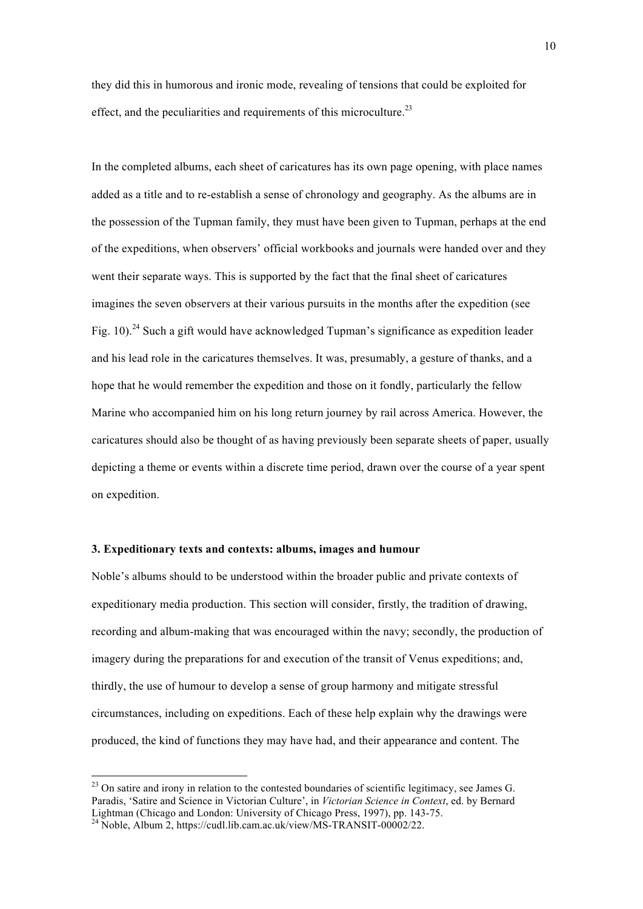they did this in humorous and ironic mode, revealing of tensions that could be exploited for effect, and the peculiarities and requirements of this microculture.<sup>23</sup>

In the completed albums, each sheet of caricatures has its own page opening, with place names added as a title and to re-establish a sense of chronology and geography. As the albums are in the possession of the Tupman family, they must have been given to Tupman, perhaps at the end of the expeditions, when observers' official workbooks and journals were handed over and they went their separate ways. This is supported by the fact that the final sheet of caricatures imagines the seven observers at their various pursuits in the months after the expedition (see Fig. 10).<sup>24</sup> Such a gift would have acknowledged Tupman's significance as expedition leader and his lead role in the caricatures themselves. It was, presumably, a gesture of thanks, and a hope that he would remember the expedition and those on it fondly, particularly the fellow Marine who accompanied him on his long return journey by rail across America. However, the caricatures should also be thought of as having previously been separate sheets of paper, usually depicting a theme or events within a discrete time period, drawn over the course of a year spent on expedition.

#### **3. Expeditionary texts and contexts: albums, images and humour**

Noble's albums should to be understood within the broader public and private contexts of expeditionary media production. This section will consider, firstly, the tradition of drawing, recording and album-making that was encouraged within the navy; secondly, the production of imagery during the preparations for and execution of the transit of Venus expeditions; and, thirdly, the use of humour to develop a sense of group harmony and mitigate stressful circumstances, including on expeditions. Each of these help explain why the drawings were produced, the kind of functions they may have had, and their appearance and content. The

<sup>&</sup>lt;sup>23</sup> On satire and irony in relation to the contested boundaries of scientific legitimacy, see James G. Paradis, 'Satire and Science in Victorian Culture', in *Victorian Science in Context*, ed. by Bernard Lightman (Chicago and London: University of Chicago Press, 1997), pp. 143-75.

 $^{24}$  Noble, Album 2, https://cudl.lib.cam.ac.uk/view/MS-TRANSIT-00002/22.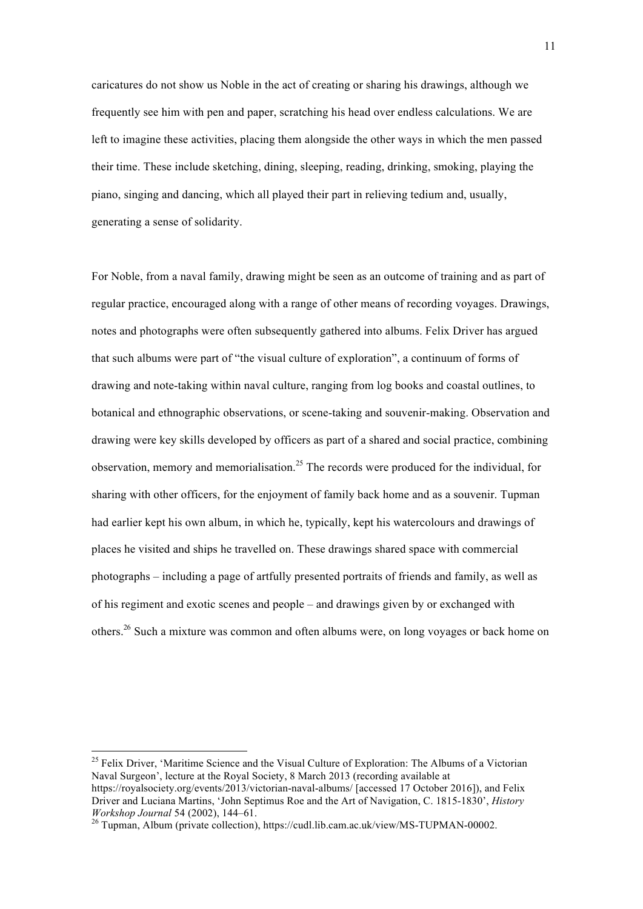caricatures do not show us Noble in the act of creating or sharing his drawings, although we frequently see him with pen and paper, scratching his head over endless calculations. We are left to imagine these activities, placing them alongside the other ways in which the men passed their time. These include sketching, dining, sleeping, reading, drinking, smoking, playing the piano, singing and dancing, which all played their part in relieving tedium and, usually, generating a sense of solidarity.

For Noble, from a naval family, drawing might be seen as an outcome of training and as part of regular practice, encouraged along with a range of other means of recording voyages. Drawings, notes and photographs were often subsequently gathered into albums. Felix Driver has argued that such albums were part of "the visual culture of exploration", a continuum of forms of drawing and note-taking within naval culture, ranging from log books and coastal outlines, to botanical and ethnographic observations, or scene-taking and souvenir-making. Observation and drawing were key skills developed by officers as part of a shared and social practice, combining observation, memory and memorialisation.<sup>25</sup> The records were produced for the individual, for sharing with other officers, for the enjoyment of family back home and as a souvenir. Tupman had earlier kept his own album, in which he, typically, kept his watercolours and drawings of places he visited and ships he travelled on. These drawings shared space with commercial photographs – including a page of artfully presented portraits of friends and family, as well as of his regiment and exotic scenes and people – and drawings given by or exchanged with others. <sup>26</sup> Such a mixture was common and often albums were, on long voyages or back home on

<sup>&</sup>lt;sup>25</sup> Felix Driver, 'Maritime Science and the Visual Culture of Exploration: The Albums of a Victorian Naval Surgeon', lecture at the Royal Society, 8 March 2013 (recording available at https://royalsociety.org/events/2013/victorian-naval-albums/ [accessed 17 October 2016]), and Felix Driver and Luciana Martins, 'John Septimus Roe and the Art of Navigation, C. 1815-1830', *History Workshop Journal* 54 (2002), 144–61.

<sup>&</sup>lt;sup>26</sup> Tupman, Album (private collection), https://cudl.lib.cam.ac.uk/view/MS-TUPMAN-00002.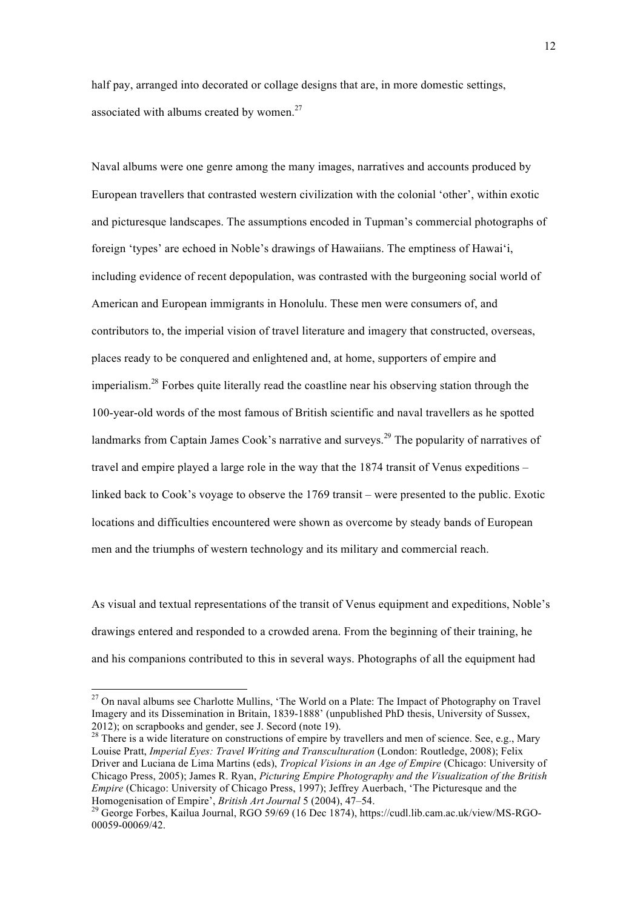half pay, arranged into decorated or collage designs that are, in more domestic settings, associated with albums created by women.<sup>27</sup>

Naval albums were one genre among the many images, narratives and accounts produced by European travellers that contrasted western civilization with the colonial 'other', within exotic and picturesque landscapes. The assumptions encoded in Tupman's commercial photographs of foreign 'types' are echoed in Noble's drawings of Hawaiians. The emptiness of Hawai'i, including evidence of recent depopulation, was contrasted with the burgeoning social world of American and European immigrants in Honolulu. These men were consumers of, and contributors to, the imperial vision of travel literature and imagery that constructed, overseas, places ready to be conquered and enlightened and, at home, supporters of empire and imperialism.<sup>28</sup> Forbes quite literally read the coastline near his observing station through the 100-year-old words of the most famous of British scientific and naval travellers as he spotted landmarks from Captain James Cook's narrative and surveys.<sup>29</sup> The popularity of narratives of travel and empire played a large role in the way that the 1874 transit of Venus expeditions – linked back to Cook's voyage to observe the 1769 transit – were presented to the public. Exotic locations and difficulties encountered were shown as overcome by steady bands of European men and the triumphs of western technology and its military and commercial reach.

As visual and textual representations of the transit of Venus equipment and expeditions, Noble's drawings entered and responded to a crowded arena. From the beginning of their training, he and his companions contributed to this in several ways. Photographs of all the equipment had

 $27$  On naval albums see Charlotte Mullins, 'The World on a Plate: The Impact of Photography on Travel Imagery and its Dissemination in Britain, 1839-1888' (unpublished PhD thesis, University of Sussex, 2012); on scrapbooks and gender, see J. Secord (note 19).

<sup>&</sup>lt;sup>28</sup> There is a wide literature on constructions of empire by travellers and men of science. See, e.g., Mary Louise Pratt, *Imperial Eyes: Travel Writing and Transculturation* (London: Routledge, 2008); Felix Driver and Luciana de Lima Martins (eds), *Tropical Visions in an Age of Empire* (Chicago: University of Chicago Press, 2005); James R. Ryan, *Picturing Empire Photography and the Visualization of the British Empire* (Chicago: University of Chicago Press, 1997); Jeffrey Auerbach, 'The Picturesque and the Homogenisation of Empire', *British Art Journal* 5 (2004), 47–54.

<sup>29</sup> George Forbes, Kailua Journal, RGO 59/69 (16 Dec 1874), https://cudl.lib.cam.ac.uk/view/MS-RGO-00059-00069/42.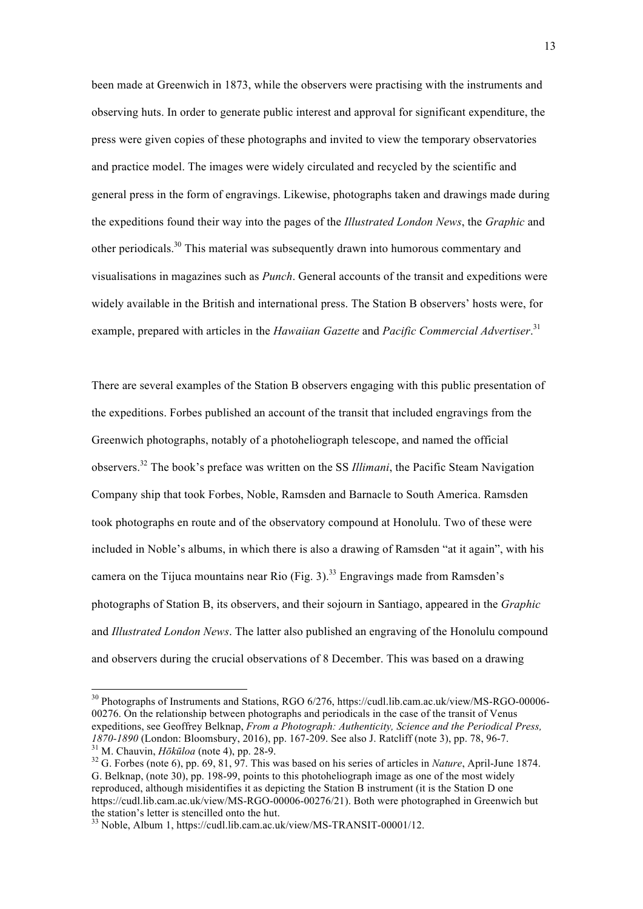been made at Greenwich in 1873, while the observers were practising with the instruments and observing huts. In order to generate public interest and approval for significant expenditure, the press were given copies of these photographs and invited to view the temporary observatories and practice model. The images were widely circulated and recycled by the scientific and general press in the form of engravings. Likewise, photographs taken and drawings made during the expeditions found their way into the pages of the *Illustrated London News*, the *Graphic* and other periodicals.<sup>30</sup> This material was subsequently drawn into humorous commentary and visualisations in magazines such as *Punch*. General accounts of the transit and expeditions were widely available in the British and international press. The Station B observers' hosts were, for example, prepared with articles in the *Hawaiian Gazette* and *Pacific Commercial Advertiser*. 31

There are several examples of the Station B observers engaging with this public presentation of the expeditions. Forbes published an account of the transit that included engravings from the Greenwich photographs, notably of a photoheliograph telescope, and named the official observers. <sup>32</sup> The book's preface was written on the SS *Illimani*, the Pacific Steam Navigation Company ship that took Forbes, Noble, Ramsden and Barnacle to South America. Ramsden took photographs en route and of the observatory compound at Honolulu. Two of these were included in Noble's albums, in which there is also a drawing of Ramsden "at it again", with his camera on the Tijuca mountains near Rio (Fig. 3).<sup>33</sup> Engravings made from Ramsden's photographs of Station B, its observers, and their sojourn in Santiago, appeared in the *Graphic* and *Illustrated London News*. The latter also published an engraving of the Honolulu compound and observers during the crucial observations of 8 December. This was based on a drawing

<sup>&</sup>lt;sup>30</sup> Photographs of Instruments and Stations, RGO 6/276, https://cudl.lib.cam.ac.uk/view/MS-RGO-00006-00276. On the relationship between photographs and periodicals in the case of the transit of Venus expeditions, see Geoffrey Belknap, *From a Photograph: Authenticity, Science and the Periodical Press, 1870-1890* (London: Bloomsbury, 2016), pp. 167-209. See also J. Ratcliff (note 3), pp. 78, 96-7.

<sup>31</sup> M. Chauvin, *Hōkūloa* (note 4), pp. 28-9.

<sup>32</sup> G. Forbes (note 6), pp. 69, 81, 97. This was based on his series of articles in *Nature*, April-June 1874. G. Belknap, (note 30), pp. 198-99, points to this photoheliograph image as one of the most widely reproduced, although misidentifies it as depicting the Station B instrument (it is the Station D one https://cudl.lib.cam.ac.uk/view/MS-RGO-00006-00276/21). Both were photographed in Greenwich but the station's letter is stencilled onto the hut.

<sup>&</sup>lt;sup>33</sup> Noble, Album 1, https://cudl.lib.cam.ac.uk/view/MS-TRANSIT-00001/12.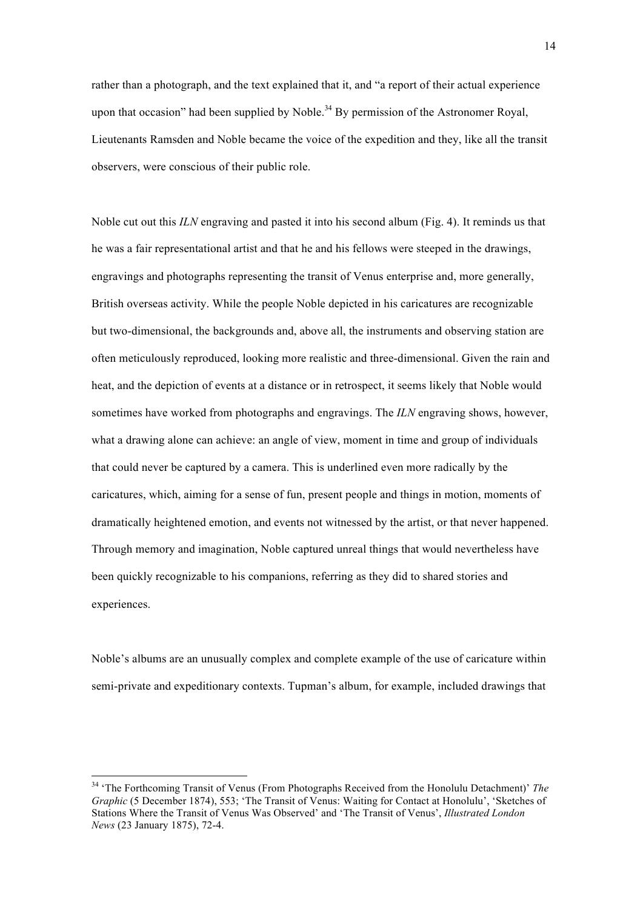rather than a photograph, and the text explained that it, and "a report of their actual experience upon that occasion" had been supplied by Noble.<sup>34</sup> By permission of the Astronomer Royal, Lieutenants Ramsden and Noble became the voice of the expedition and they, like all the transit observers, were conscious of their public role.

Noble cut out this *ILN* engraving and pasted it into his second album (Fig. 4). It reminds us that he was a fair representational artist and that he and his fellows were steeped in the drawings, engravings and photographs representing the transit of Venus enterprise and, more generally, British overseas activity. While the people Noble depicted in his caricatures are recognizable but two-dimensional, the backgrounds and, above all, the instruments and observing station are often meticulously reproduced, looking more realistic and three-dimensional. Given the rain and heat, and the depiction of events at a distance or in retrospect, it seems likely that Noble would sometimes have worked from photographs and engravings. The *ILN* engraving shows, however, what a drawing alone can achieve: an angle of view, moment in time and group of individuals that could never be captured by a camera. This is underlined even more radically by the caricatures, which, aiming for a sense of fun, present people and things in motion, moments of dramatically heightened emotion, and events not witnessed by the artist, or that never happened. Through memory and imagination, Noble captured unreal things that would nevertheless have been quickly recognizable to his companions, referring as they did to shared stories and experiences.

Noble's albums are an unusually complex and complete example of the use of caricature within semi-private and expeditionary contexts. Tupman's album, for example, included drawings that

<sup>34</sup> 'The Forthcoming Transit of Venus (From Photographs Received from the Honolulu Detachment)' *The Graphic* (5 December 1874), 553; 'The Transit of Venus: Waiting for Contact at Honolulu', 'Sketches of Stations Where the Transit of Venus Was Observed' and 'The Transit of Venus', *Illustrated London News* (23 January 1875), 72-4.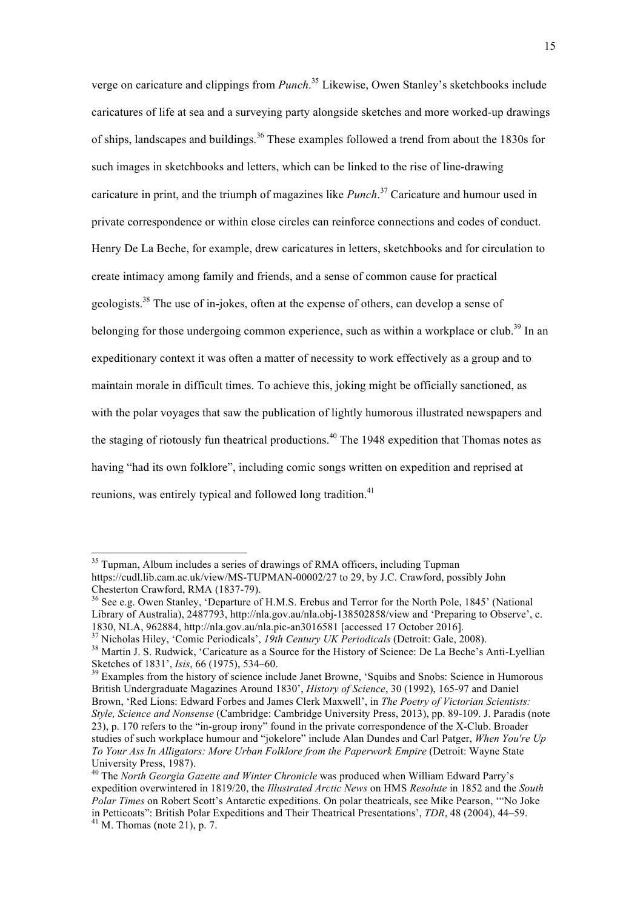verge on caricature and clippings from *Punch*. <sup>35</sup> Likewise, Owen Stanley's sketchbooks include caricatures of life at sea and a surveying party alongside sketches and more worked-up drawings of ships, landscapes and buildings.<sup>36</sup> These examples followed a trend from about the 1830s for such images in sketchbooks and letters, which can be linked to the rise of line-drawing caricature in print, and the triumph of magazines like *Punch*. <sup>37</sup> Caricature and humour used in private correspondence or within close circles can reinforce connections and codes of conduct. Henry De La Beche, for example, drew caricatures in letters, sketchbooks and for circulation to create intimacy among family and friends, and a sense of common cause for practical geologists.<sup>38</sup> The use of in-jokes, often at the expense of others, can develop a sense of belonging for those undergoing common experience, such as within a workplace or club.<sup>39</sup> In an expeditionary context it was often a matter of necessity to work effectively as a group and to maintain morale in difficult times. To achieve this, joking might be officially sanctioned, as with the polar voyages that saw the publication of lightly humorous illustrated newspapers and the staging of riotously fun theatrical productions.<sup>40</sup> The 1948 expedition that Thomas notes as having "had its own folklore", including comic songs written on expedition and reprised at reunions, was entirely typical and followed long tradition.<sup>41</sup>

!!!!!!!!!!!!!!!!!!!!!!!!!!!!!!!!!!!!!!!!!!!!!!!!!!!!!!!

<sup>37</sup> Nicholas Hiley, 'Comic Periodicals', *19th Century UK Periodicals* (Detroit: Gale, 2008).

 $35$  Tupman, Album includes a series of drawings of RMA officers, including Tupman https://cudl.lib.cam.ac.uk/view/MS-TUPMAN-00002/27 to 29, by J.C. Crawford, possibly John Chesterton Crawford, RMA (1837-79).

<sup>36</sup> See e.g. Owen Stanley, 'Departure of H.M.S. Erebus and Terror for the North Pole, 1845' (National Library of Australia), 2487793, http://nla.gov.au/nla.obj-138502858/view and 'Preparing to Observe', c. 1830, NLA, 962884, http://nla.gov.au/nla.pic-an3016581 [accessed 17 October 2016].

<sup>&</sup>lt;sup>38</sup> Martin J. S. Rudwick, 'Caricature as a Source for the History of Science: De La Beche's Anti-Lyellian Sketches of 1831', *Isis*, 66 (1975), 534–60.

 $39$  Examples from the history of science include Janet Browne, 'Squibs and Snobs: Science in Humorous British Undergraduate Magazines Around 1830', *History of Science*, 30 (1992), 165-97 and Daniel Brown, 'Red Lions: Edward Forbes and James Clerk Maxwell', in *The Poetry of Victorian Scientists: Style, Science and Nonsense* (Cambridge: Cambridge University Press, 2013), pp. 89-109. J. Paradis (note 23), p. 170 refers to the "in-group irony" found in the private correspondence of the X-Club. Broader studies of such workplace humour and "jokelore" include Alan Dundes and Carl Patger, *When You're Up To Your Ass In Alligators: More Urban Folklore from the Paperwork Empire* (Detroit: Wayne State University Press, 1987).

<sup>40</sup> The *North Georgia Gazette and Winter Chronicle* was produced when William Edward Parry's expedition overwintered in 1819/20, the *Illustrated Arctic News* on HMS *Resolute* in 1852 and the *South Polar Times* on Robert Scott's Antarctic expeditions. On polar theatricals, see Mike Pearson, '"No Joke in Petticoats": British Polar Expeditions and Their Theatrical Presentations', *TDR*, 48 (2004), 44–59.  $41$  M. Thomas (note 21), p. 7.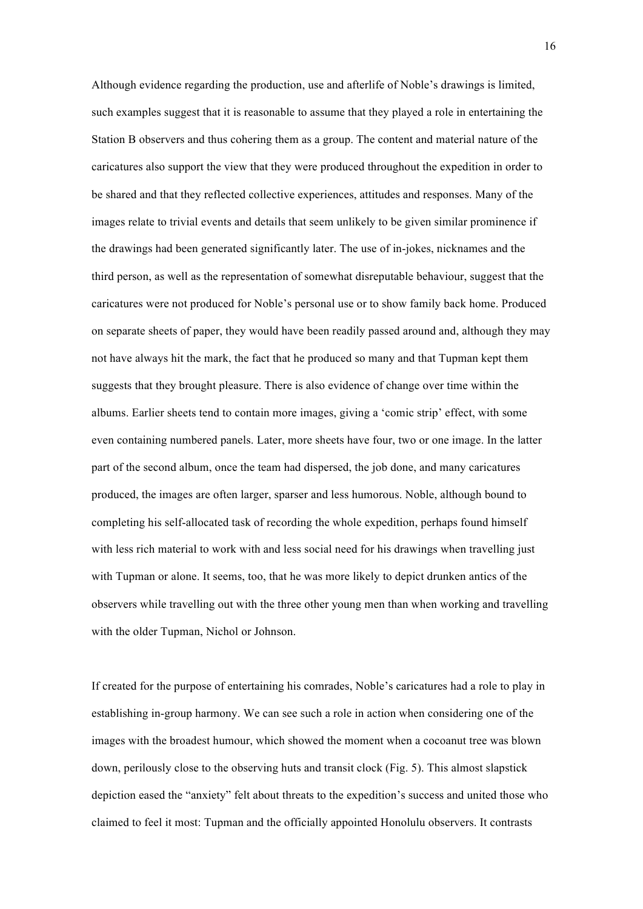Although evidence regarding the production, use and afterlife of Noble's drawings is limited, such examples suggest that it is reasonable to assume that they played a role in entertaining the Station B observers and thus cohering them as a group. The content and material nature of the caricatures also support the view that they were produced throughout the expedition in order to be shared and that they reflected collective experiences, attitudes and responses. Many of the images relate to trivial events and details that seem unlikely to be given similar prominence if the drawings had been generated significantly later. The use of in-jokes, nicknames and the third person, as well as the representation of somewhat disreputable behaviour, suggest that the caricatures were not produced for Noble's personal use or to show family back home. Produced on separate sheets of paper, they would have been readily passed around and, although they may not have always hit the mark, the fact that he produced so many and that Tupman kept them suggests that they brought pleasure. There is also evidence of change over time within the albums. Earlier sheets tend to contain more images, giving a 'comic strip' effect, with some even containing numbered panels. Later, more sheets have four, two or one image. In the latter part of the second album, once the team had dispersed, the job done, and many caricatures produced, the images are often larger, sparser and less humorous. Noble, although bound to completing his self-allocated task of recording the whole expedition, perhaps found himself with less rich material to work with and less social need for his drawings when travelling just with Tupman or alone. It seems, too, that he was more likely to depict drunken antics of the observers while travelling out with the three other young men than when working and travelling with the older Tupman, Nichol or Johnson.

If created for the purpose of entertaining his comrades, Noble's caricatures had a role to play in establishing in-group harmony. We can see such a role in action when considering one of the images with the broadest humour, which showed the moment when a cocoanut tree was blown down, perilously close to the observing huts and transit clock (Fig. 5). This almost slapstick depiction eased the "anxiety" felt about threats to the expedition's success and united those who claimed to feel it most: Tupman and the officially appointed Honolulu observers. It contrasts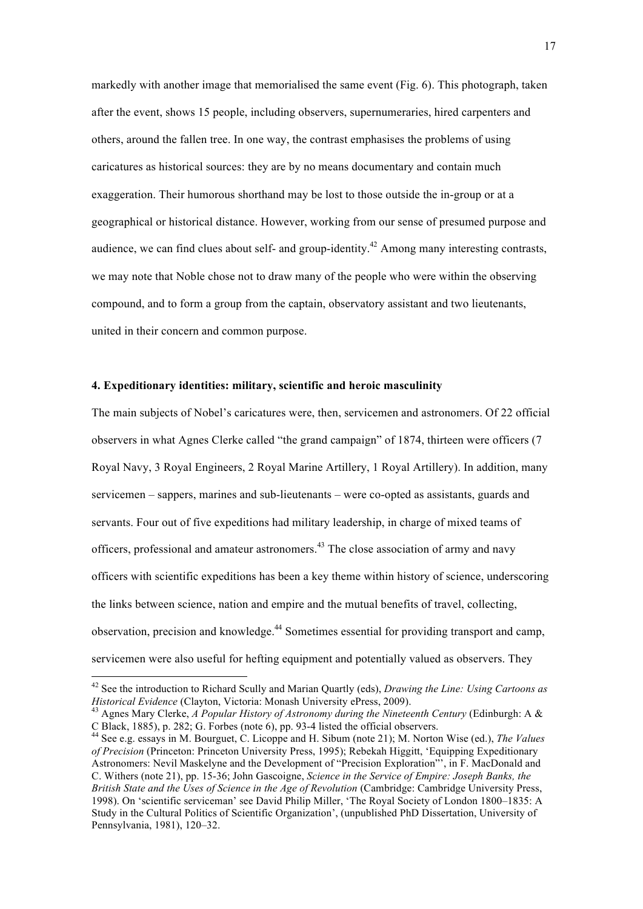markedly with another image that memorialised the same event (Fig. 6). This photograph, taken after the event, shows 15 people, including observers, supernumeraries, hired carpenters and others, around the fallen tree. In one way, the contrast emphasises the problems of using caricatures as historical sources: they are by no means documentary and contain much exaggeration. Their humorous shorthand may be lost to those outside the in-group or at a geographical or historical distance. However, working from our sense of presumed purpose and audience, we can find clues about self- and group-identity.<sup>42</sup> Among many interesting contrasts, we may note that Noble chose not to draw many of the people who were within the observing compound, and to form a group from the captain, observatory assistant and two lieutenants, united in their concern and common purpose.

#### **4. Expeditionary identities: military, scientific and heroic masculinity**

The main subjects of Nobel's caricatures were, then, servicemen and astronomers. Of 22 official observers in what Agnes Clerke called "the grand campaign" of 1874, thirteen were officers (7 Royal Navy, 3 Royal Engineers, 2 Royal Marine Artillery, 1 Royal Artillery). In addition, many servicemen – sappers, marines and sub-lieutenants – were co-opted as assistants, guards and servants. Four out of five expeditions had military leadership, in charge of mixed teams of officers, professional and amateur astronomers.<sup>43</sup> The close association of army and navy officers with scientific expeditions has been a key theme within history of science, underscoring the links between science, nation and empire and the mutual benefits of travel, collecting, observation, precision and knowledge.<sup>44</sup> Sometimes essential for providing transport and camp, servicemen were also useful for hefting equipment and potentially valued as observers. They !!!!!!!!!!!!!!!!!!!!!!!!!!!!!!!!!!!!!!!!!!!!!!!!!!!!!!!

<sup>42</sup> See the introduction to Richard Scully and Marian Quartly (eds), *Drawing the Line: Using Cartoons as Historical Evidence* (Clayton, Victoria: Monash University ePress, 2009).

<sup>43</sup> Agnes Mary Clerke, *A Popular History of Astronomy during the Nineteenth Century* (Edinburgh: A & C Black, 1885), p. 282; G. Forbes (note 6), pp. 93-4 listed the official observers.

<sup>44</sup> See e.g. essays in M. Bourguet, C. Licoppe and H. Sibum (note 21); M. Norton Wise (ed.), *The Values of Precision* (Princeton: Princeton University Press, 1995); Rebekah Higgitt, 'Equipping Expeditionary Astronomers: Nevil Maskelyne and the Development of "Precision Exploration"', in F. MacDonald and C. Withers (note 21), pp. 15-36; John Gascoigne, *Science in the Service of Empire: Joseph Banks, the British State and the Uses of Science in the Age of Revolution* (Cambridge: Cambridge University Press, 1998). On 'scientific serviceman' see David Philip Miller, 'The Royal Society of London 1800–1835: A Study in the Cultural Politics of Scientific Organization', (unpublished PhD Dissertation, University of Pennsylvania, 1981), 120–32.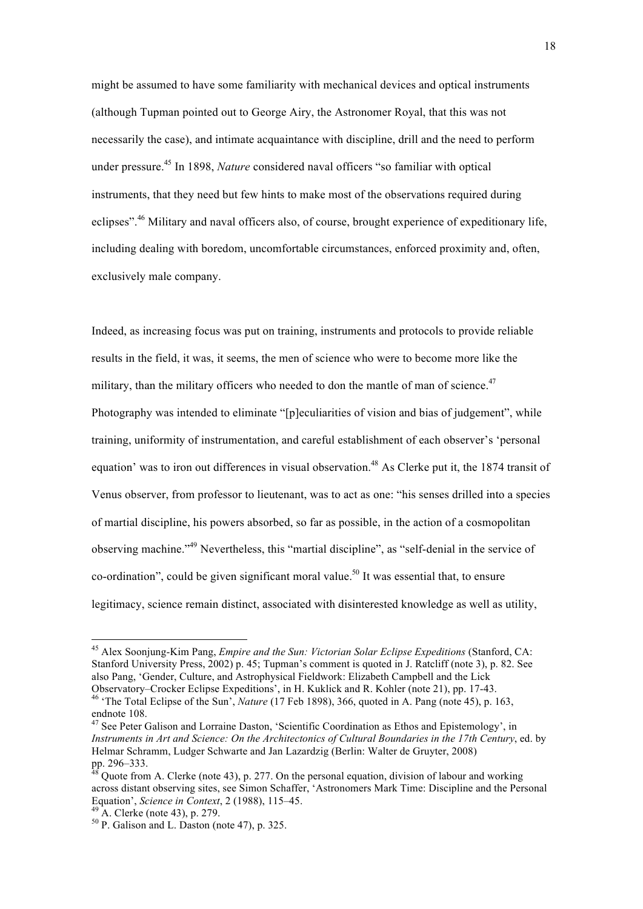might be assumed to have some familiarity with mechanical devices and optical instruments (although Tupman pointed out to George Airy, the Astronomer Royal, that this was not necessarily the case), and intimate acquaintance with discipline, drill and the need to perform under pressure.<sup>45</sup> In 1898, *Nature* considered naval officers "so familiar with optical instruments, that they need but few hints to make most of the observations required during eclipses".<sup>46</sup> Military and naval officers also, of course, brought experience of expeditionary life, including dealing with boredom, uncomfortable circumstances, enforced proximity and, often, exclusively male company.

Indeed, as increasing focus was put on training, instruments and protocols to provide reliable results in the field, it was, it seems, the men of science who were to become more like the military, than the military officers who needed to don the mantle of man of science.<sup>47</sup> Photography was intended to eliminate "[p]eculiarities of vision and bias of judgement", while training, uniformity of instrumentation, and careful establishment of each observer's 'personal equation' was to iron out differences in visual observation.<sup>48</sup> As Clerke put it, the 1874 transit of Venus observer, from professor to lieutenant, was to act as one: "his senses drilled into a species of martial discipline, his powers absorbed, so far as possible, in the action of a cosmopolitan observing machine."<sup>49</sup> Nevertheless, this "martial discipline", as "self-denial in the service of co-ordination", could be given significant moral value.<sup>50</sup> It was essential that, to ensure legitimacy, science remain distinct, associated with disinterested knowledge as well as utility,

<sup>45</sup> Alex Soonjung-Kim Pang, *Empire and the Sun: Victorian Solar Eclipse Expeditions* (Stanford, CA: Stanford University Press, 2002) p. 45; Tupman's comment is quoted in J. Ratcliff (note 3), p. 82. See also Pang, 'Gender, Culture, and Astrophysical Fieldwork: Elizabeth Campbell and the Lick Observatory–Crocker Eclipse Expeditions', in H. Kuklick and R. Kohler (note 21), pp. 17-43.

<sup>46</sup> 'The Total Eclipse of the Sun', *Nature* (17 Feb 1898), 366, quoted in A. Pang (note 45), p. 163, endnote 108.

<sup>&</sup>lt;sup>47</sup> See Peter Galison and Lorraine Daston, 'Scientific Coordination as Ethos and Epistemology', in *Instruments in Art and Science: On the Architectonics of Cultural Boundaries in the 17th Century*, ed. by Helmar Schramm, Ludger Schwarte and Jan Lazardzig (Berlin: Walter de Gruyter, 2008) pp. 296–333.

Quote from A. Clerke (note 43), p. 277. On the personal equation, division of labour and working across distant observing sites, see Simon Schaffer, 'Astronomers Mark Time: Discipline and the Personal Equation', *Science in Context*, 2 (1988), 115–45.

A. Clerke (note 43), p. 279.

 $50$  P. Galison and L. Daston (note 47), p. 325.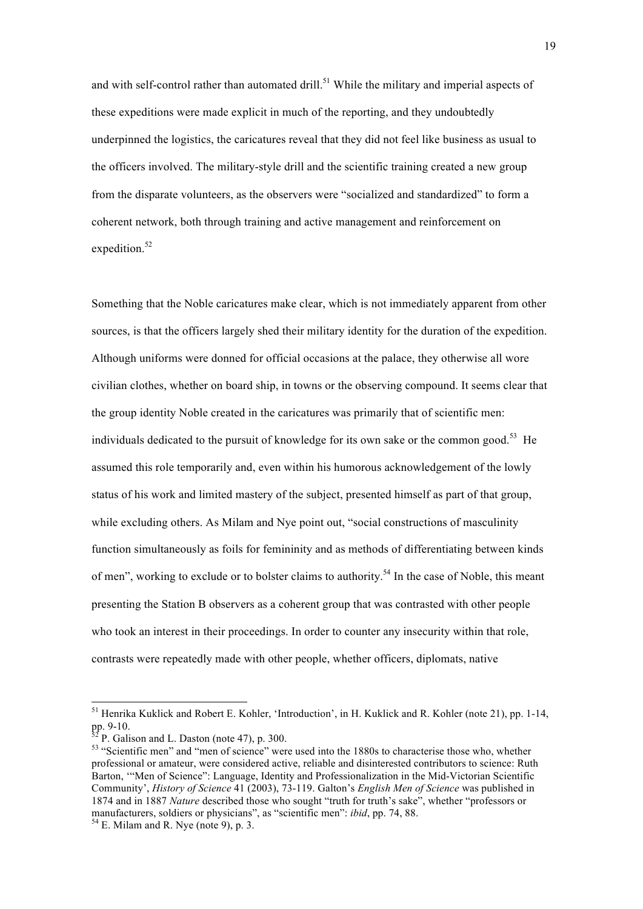and with self-control rather than automated drill.<sup>51</sup> While the military and imperial aspects of these expeditions were made explicit in much of the reporting, and they undoubtedly underpinned the logistics, the caricatures reveal that they did not feel like business as usual to the officers involved. The military-style drill and the scientific training created a new group from the disparate volunteers, as the observers were "socialized and standardized" to form a coherent network, both through training and active management and reinforcement on expedition. 52

Something that the Noble caricatures make clear, which is not immediately apparent from other sources, is that the officers largely shed their military identity for the duration of the expedition. Although uniforms were donned for official occasions at the palace, they otherwise all wore civilian clothes, whether on board ship, in towns or the observing compound. It seems clear that the group identity Noble created in the caricatures was primarily that of scientific men: individuals dedicated to the pursuit of knowledge for its own sake or the common good.<sup>53</sup> He assumed this role temporarily and, even within his humorous acknowledgement of the lowly status of his work and limited mastery of the subject, presented himself as part of that group, while excluding others. As Milam and Nye point out, "social constructions of masculinity function simultaneously as foils for femininity and as methods of differentiating between kinds of men", working to exclude or to bolster claims to authority.<sup>54</sup> In the case of Noble, this meant presenting the Station B observers as a coherent group that was contrasted with other people who took an interest in their proceedings. In order to counter any insecurity within that role, contrasts were repeatedly made with other people, whether officers, diplomats, native

<sup>51</sup> Henrika Kuklick and Robert E. Kohler, 'Introduction', in H. Kuklick and R. Kohler (note 21), pp. 1-14, pp.  $9-10$ .

<sup>52</sup> P. Galison and L. Daston (note 47), p. 300.

<sup>&</sup>lt;sup>53</sup> "Scientific men" and "men of science" were used into the 1880s to characterise those who, whether professional or amateur, were considered active, reliable and disinterested contributors to science: Ruth Barton, '"Men of Science": Language, Identity and Professionalization in the Mid-Victorian Scientific Community', *History of Science* 41 (2003), 73-119. Galton's *English Men of Science* was published in 1874 and in 1887 *Nature* described those who sought "truth for truth's sake", whether "professors or manufacturers, soldiers or physicians", as "scientific men": *ibid*, pp. 74, 88.

 $54$  E. Milam and R. Nye (note 9), p. 3.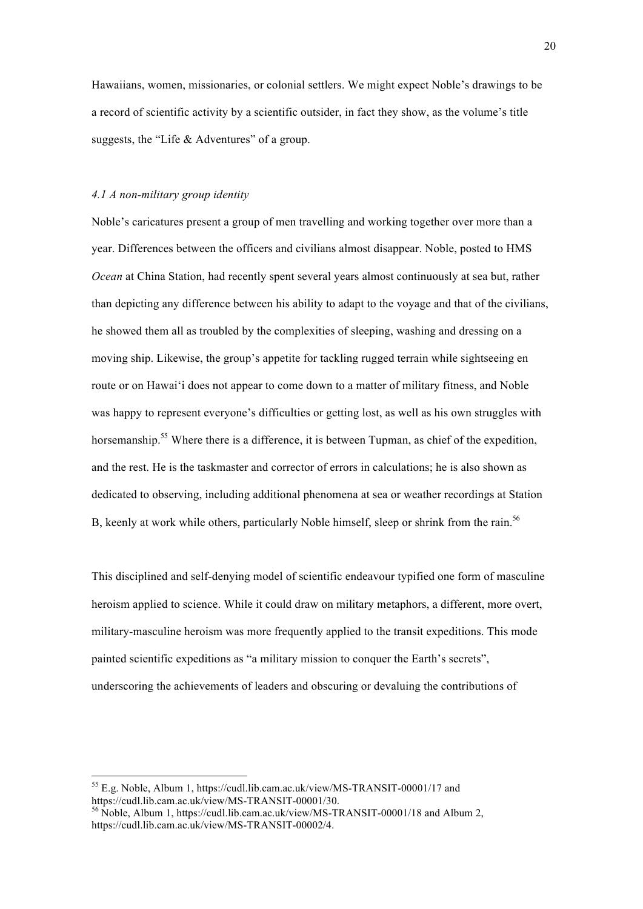Hawaiians, women, missionaries, or colonial settlers. We might expect Noble's drawings to be a record of scientific activity by a scientific outsider, in fact they show, as the volume's title suggests, the "Life & Adventures" of a group.

#### *4.1 A non-military group identity*

Noble's caricatures present a group of men travelling and working together over more than a year. Differences between the officers and civilians almost disappear. Noble, posted to HMS *Ocean* at China Station, had recently spent several years almost continuously at sea but, rather than depicting any difference between his ability to adapt to the voyage and that of the civilians, he showed them all as troubled by the complexities of sleeping, washing and dressing on a moving ship. Likewise, the group's appetite for tackling rugged terrain while sightseeing en route or on Hawai'i does not appear to come down to a matter of military fitness, and Noble was happy to represent everyone's difficulties or getting lost, as well as his own struggles with horsemanship.<sup>55</sup> Where there is a difference, it is between Tupman, as chief of the expedition, and the rest. He is the taskmaster and corrector of errors in calculations; he is also shown as dedicated to observing, including additional phenomena at sea or weather recordings at Station B, keenly at work while others, particularly Noble himself, sleep or shrink from the rain.<sup>56</sup>

This disciplined and self-denying model of scientific endeavour typified one form of masculine heroism applied to science. While it could draw on military metaphors, a different, more overt, military-masculine heroism was more frequently applied to the transit expeditions. This mode painted scientific expeditions as "a military mission to conquer the Earth's secrets", underscoring the achievements of leaders and obscuring or devaluing the contributions of

<sup>55</sup> E.g. Noble, Album 1, https://cudl.lib.cam.ac.uk/view/MS-TRANSIT-00001/17 and https://cudl.lib.cam.ac.uk/view/MS-TRANSIT-00001/30.

<sup>56</sup> Noble, Album 1, https://cudl.lib.cam.ac.uk/view/MS-TRANSIT-00001/18 and Album 2, https://cudl.lib.cam.ac.uk/view/MS-TRANSIT-00002/4.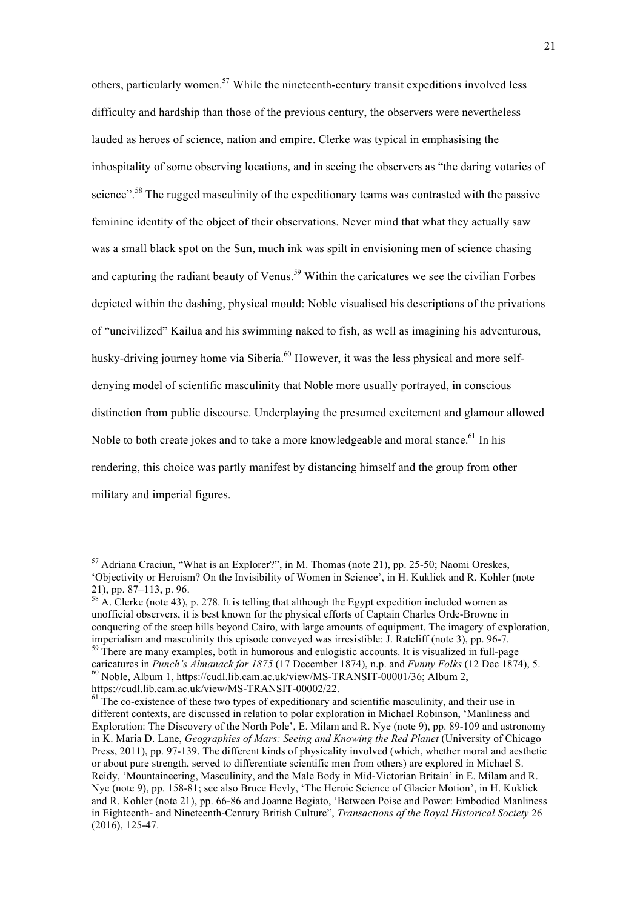others, particularly women.<sup>57</sup> While the nineteenth-century transit expeditions involved less difficulty and hardship than those of the previous century, the observers were nevertheless lauded as heroes of science, nation and empire. Clerke was typical in emphasising the inhospitality of some observing locations, and in seeing the observers as "the daring votaries of science".<sup>58</sup> The rugged masculinity of the expeditionary teams was contrasted with the passive feminine identity of the object of their observations. Never mind that what they actually saw was a small black spot on the Sun, much ink was spilt in envisioning men of science chasing and capturing the radiant beauty of Venus.<sup>59</sup> Within the caricatures we see the civilian Forbes depicted within the dashing, physical mould: Noble visualised his descriptions of the privations of "uncivilized" Kailua and his swimming naked to fish, as well as imagining his adventurous, husky-driving journey home via Siberia.<sup>60</sup> However, it was the less physical and more selfdenying model of scientific masculinity that Noble more usually portrayed, in conscious distinction from public discourse. Underplaying the presumed excitement and glamour allowed Noble to both create jokes and to take a more knowledgeable and moral stance.<sup>61</sup> In his rendering, this choice was partly manifest by distancing himself and the group from other military and imperial figures.

<sup>57</sup> Adriana Craciun, "What is an Explorer?", in M. Thomas (note 21), pp. 25-50; Naomi Oreskes, 'Objectivity or Heroism? On the Invisibility of Women in Science', in H. Kuklick and R. Kohler (note 21), pp. 87–113, p. 96.

 $58$  A. Clerke (note 43), p. 278. It is telling that although the Egypt expedition included women as unofficial observers, it is best known for the physical efforts of Captain Charles Orde-Browne in conquering of the steep hills beyond Cairo, with large amounts of equipment. The imagery of exploration, imperialism and masculinity this episode conveyed was irresistible: J. Ratcliff (note 3), pp. 96-7.

<sup>&</sup>lt;sup>59</sup> There are many examples, both in humorous and eulogistic accounts. It is visualized in full-page caricatures in *Punch's Almanack for 1875* (17 December 1874), n.p. and *Funny Folks* (12 Dec 1874), 5.  $^{60}$  Noble, Album 1, https://cudl.lib.cam.ac.uk/view/MS-TRANSIT-00001/36; Album 2, https://cudl.lib.cam.ac.uk/view/MS-TRANSIT-00002/22.

 $61$ <sup>61</sup> The co-existence of these two types of expeditionary and scientific masculinity, and their use in different contexts, are discussed in relation to polar exploration in Michael Robinson, 'Manliness and Exploration: The Discovery of the North Pole', E. Milam and R. Nye (note 9), pp. 89-109 and astronomy in K. Maria D. Lane, *Geographies of Mars: Seeing and Knowing the Red Planet* (University of Chicago Press, 2011), pp. 97-139. The different kinds of physicality involved (which, whether moral and aesthetic or about pure strength, served to differentiate scientific men from others) are explored in Michael S. Reidy, 'Mountaineering, Masculinity, and the Male Body in Mid-Victorian Britain' in E. Milam and R. Nye (note 9), pp. 158-81; see also Bruce Hevly, 'The Heroic Science of Glacier Motion', in H. Kuklick and R. Kohler (note 21), pp. 66-86 and Joanne Begiato, 'Between Poise and Power: Embodied Manliness in Eighteenth- and Nineteenth-Century British Culture", *Transactions of the Royal Historical Society* 26 (2016), 125-47.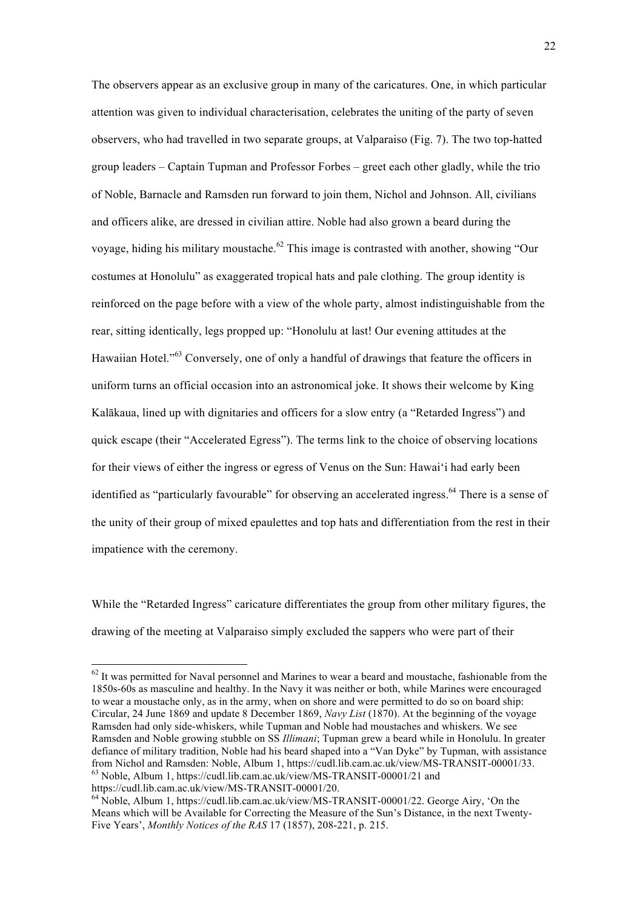The observers appear as an exclusive group in many of the caricatures. One, in which particular attention was given to individual characterisation, celebrates the uniting of the party of seven observers, who had travelled in two separate groups, at Valparaiso (Fig. 7). The two top-hatted group leaders – Captain Tupman and Professor Forbes – greet each other gladly, while the trio of Noble, Barnacle and Ramsden run forward to join them, Nichol and Johnson. All, civilians and officers alike, are dressed in civilian attire. Noble had also grown a beard during the voyage, hiding his military moustache.<sup>62</sup> This image is contrasted with another, showing "Our costumes at Honolulu" as exaggerated tropical hats and pale clothing. The group identity is reinforced on the page before with a view of the whole party, almost indistinguishable from the rear, sitting identically, legs propped up: "Honolulu at last! Our evening attitudes at the Hawaiian Hotel."<sup>63</sup> Conversely, one of only a handful of drawings that feature the officers in uniform turns an official occasion into an astronomical joke. It shows their welcome by King Kalākaua, lined up with dignitaries and officers for a slow entry (a "Retarded Ingress") and quick escape (their "Accelerated Egress"). The terms link to the choice of observing locations for their views of either the ingress or egress of Venus on the Sun: Hawai'i had early been identified as "particularly favourable" for observing an accelerated ingress.<sup>64</sup> There is a sense of the unity of their group of mixed epaulettes and top hats and differentiation from the rest in their impatience with the ceremony.

While the "Retarded Ingress" caricature differentiates the group from other military figures, the drawing of the meeting at Valparaiso simply excluded the sappers who were part of their

 $62$  It was permitted for Naval personnel and Marines to wear a beard and moustache, fashionable from the 1850s-60s as masculine and healthy. In the Navy it was neither or both, while Marines were encouraged to wear a moustache only, as in the army, when on shore and were permitted to do so on board ship: Circular, 24 June 1869 and update 8 December 1869, *Navy List* (1870). At the beginning of the voyage Ramsden had only side-whiskers, while Tupman and Noble had moustaches and whiskers. We see Ramsden and Noble growing stubble on SS *Illimani*; Tupman grew a beard while in Honolulu. In greater defiance of military tradition, Noble had his beard shaped into a "Van Dyke" by Tupman, with assistance from Nichol and Ramsden: Noble, Album 1, https://cudl.lib.cam.ac.uk/view/MS-TRANSIT-00001/33. <sup>63</sup> Noble, Album 1, https://cudl.lib.cam.ac.uk/view/MS-TRANSIT-00001/21 and

https://cudl.lib.cam.ac.uk/view/MS-TRANSIT-00001/20.

<sup>64</sup> Noble, Album 1, https://cudl.lib.cam.ac.uk/view/MS-TRANSIT-00001/22. George Airy, 'On the Means which will be Available for Correcting the Measure of the Sun's Distance, in the next Twenty-Five Years', *Monthly Notices of the RAS* 17 (1857), 208-221, p. 215.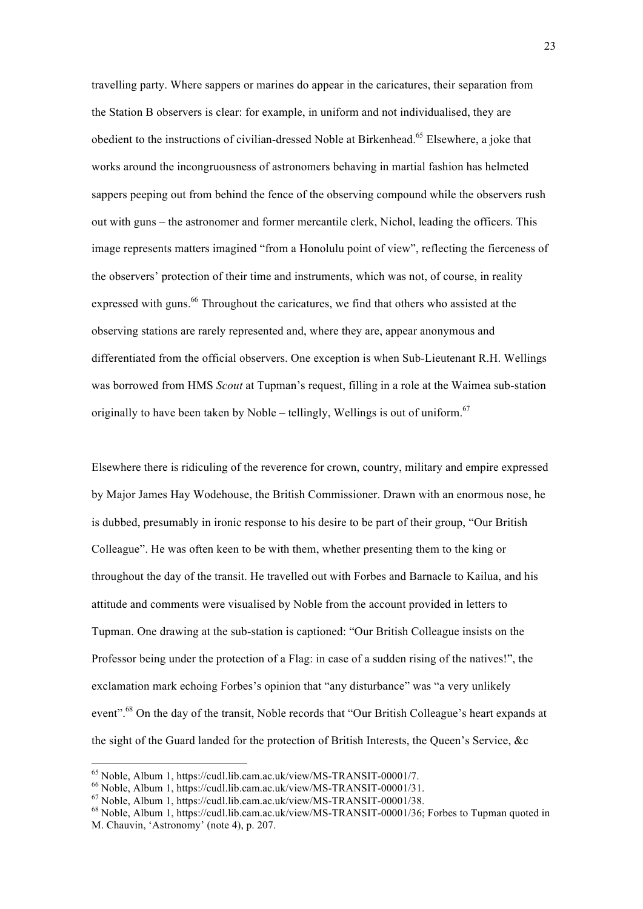travelling party. Where sappers or marines do appear in the caricatures, their separation from the Station B observers is clear: for example, in uniform and not individualised, they are obedient to the instructions of civilian-dressed Noble at Birkenhead.<sup>65</sup> Elsewhere, a joke that works around the incongruousness of astronomers behaving in martial fashion has helmeted sappers peeping out from behind the fence of the observing compound while the observers rush out with guns – the astronomer and former mercantile clerk, Nichol, leading the officers. This image represents matters imagined "from a Honolulu point of view", reflecting the fierceness of the observers' protection of their time and instruments, which was not, of course, in reality expressed with guns.<sup>66</sup> Throughout the caricatures, we find that others who assisted at the observing stations are rarely represented and, where they are, appear anonymous and differentiated from the official observers. One exception is when Sub-Lieutenant R.H. Wellings was borrowed from HMS *Scout* at Tupman's request, filling in a role at the Waimea sub-station originally to have been taken by Noble – tellingly, Wellings is out of uniform.<sup>67</sup>

Elsewhere there is ridiculing of the reverence for crown, country, military and empire expressed by Major James Hay Wodehouse, the British Commissioner. Drawn with an enormous nose, he is dubbed, presumably in ironic response to his desire to be part of their group, "Our British Colleague". He was often keen to be with them, whether presenting them to the king or throughout the day of the transit. He travelled out with Forbes and Barnacle to Kailua, and his attitude and comments were visualised by Noble from the account provided in letters to Tupman. One drawing at the sub-station is captioned: "Our British Colleague insists on the Professor being under the protection of a Flag: in case of a sudden rising of the natives!", the exclamation mark echoing Forbes's opinion that "any disturbance" was "a very unlikely event".<sup>68</sup> On the day of the transit, Noble records that "Our British Colleague's heart expands at the sight of the Guard landed for the protection of British Interests, the Queen's Service, &c

 $^{65}$  Noble, Album 1, https://cudl.lib.cam.ac.uk/view/MS-TRANSIT-00001/7.

<sup>66</sup> Noble, Album 1, https://cudl.lib.cam.ac.uk/view/MS-TRANSIT-00001/31.

<sup>67</sup> Noble, Album 1, https://cudl.lib.cam.ac.uk/view/MS-TRANSIT-00001/38.

<sup>68</sup> Noble, Album 1, https://cudl.lib.cam.ac.uk/view/MS-TRANSIT-00001/36; Forbes to Tupman quoted in M. Chauvin, 'Astronomy' (note 4), p. 207.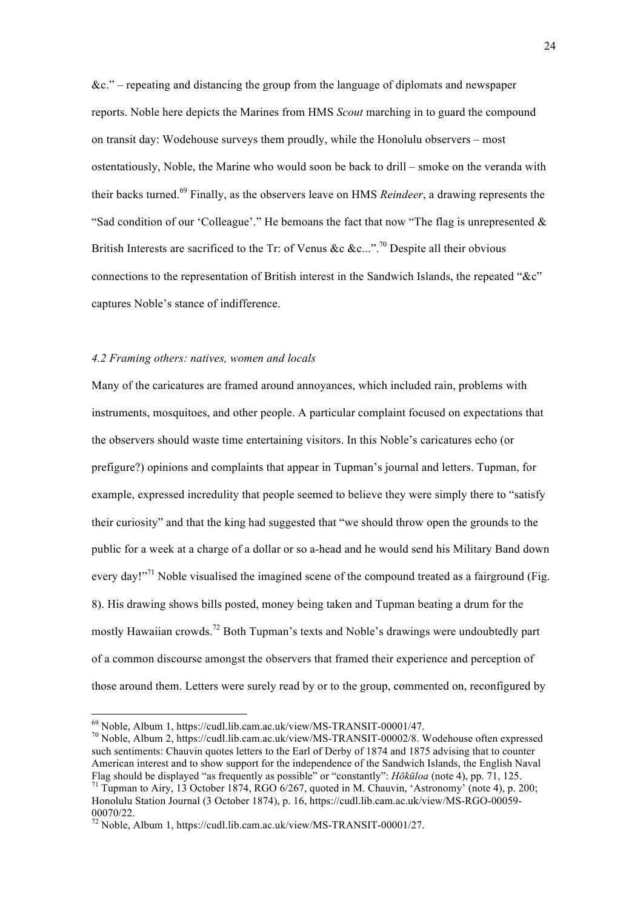&c." – repeating and distancing the group from the language of diplomats and newspaper reports. Noble here depicts the Marines from HMS *Scout* marching in to guard the compound on transit day: Wodehouse surveys them proudly, while the Honolulu observers – most ostentatiously, Noble, the Marine who would soon be back to drill – smoke on the veranda with their backs turned.<sup>69</sup> Finally, as the observers leave on HMS *Reindeer*, a drawing represents the "Sad condition of our 'Colleague'." He bemoans the fact that now "The flag is unrepresented  $\&$ British Interests are sacrificed to the Tr: of Venus &c &c..."<sup>70</sup> Despite all their obvious connections to the representation of British interest in the Sandwich Islands, the repeated "&c" captures Noble's stance of indifference.

#### *4.2 Framing others: natives, women and locals*

Many of the caricatures are framed around annoyances, which included rain, problems with instruments, mosquitoes, and other people. A particular complaint focused on expectations that the observers should waste time entertaining visitors. In this Noble's caricatures echo (or prefigure?) opinions and complaints that appear in Tupman's journal and letters. Tupman, for example, expressed incredulity that people seemed to believe they were simply there to "satisfy their curiosity" and that the king had suggested that "we should throw open the grounds to the public for a week at a charge of a dollar or so a-head and he would send his Military Band down every day!"<sup>71</sup> Noble visualised the imagined scene of the compound treated as a fairground (Fig. 8). His drawing shows bills posted, money being taken and Tupman beating a drum for the mostly Hawaiian crowds.<sup>72</sup> Both Tupman's texts and Noble's drawings were undoubtedly part of a common discourse amongst the observers that framed their experience and perception of those around them. Letters were surely read by or to the group, commented on, reconfigured by

<sup>69</sup> Noble, Album 1, https://cudl.lib.cam.ac.uk/view/MS-TRANSIT-00001/47.

<sup>70</sup> Noble, Album 2, https://cudl.lib.cam.ac.uk/view/MS-TRANSIT-00002/8. Wodehouse often expressed such sentiments: Chauvin quotes letters to the Earl of Derby of 1874 and 1875 advising that to counter American interest and to show support for the independence of the Sandwich Islands, the English Naval Flag should be displayed "as frequently as possible" or "constantly": *Hōkūloa* (note 4), pp. 71, 125.

 $71$  Tupman to Airy, 13 October 1874, RGO 6/267, quoted in M. Chauvin, 'Astronomy' (note 4), p. 200; Honolulu Station Journal (3 October 1874), p. 16, https://cudl.lib.cam.ac.uk/view/MS-RGO-00059- 00070/22.

<sup>72</sup> Noble, Album 1, https://cudl.lib.cam.ac.uk/view/MS-TRANSIT-00001/27.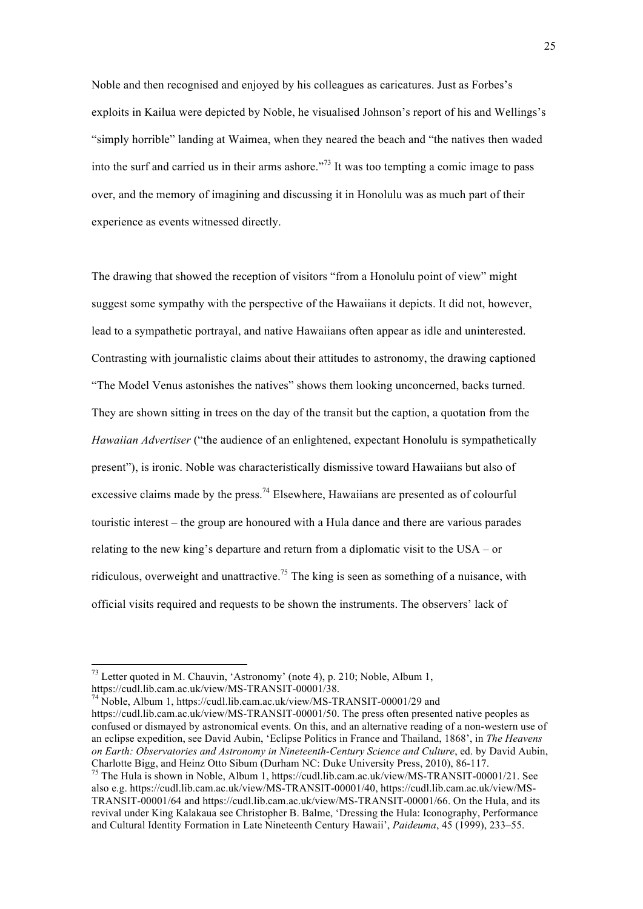Noble and then recognised and enjoyed by his colleagues as caricatures. Just as Forbes's exploits in Kailua were depicted by Noble, he visualised Johnson's report of his and Wellings's "simply horrible" landing at Waimea, when they neared the beach and "the natives then waded into the surf and carried us in their arms ashore.<sup> $3$ </sup> It was too tempting a comic image to pass over, and the memory of imagining and discussing it in Honolulu was as much part of their experience as events witnessed directly.

The drawing that showed the reception of visitors "from a Honolulu point of view" might suggest some sympathy with the perspective of the Hawaiians it depicts. It did not, however, lead to a sympathetic portrayal, and native Hawaiians often appear as idle and uninterested. Contrasting with journalistic claims about their attitudes to astronomy, the drawing captioned "The Model Venus astonishes the natives" shows them looking unconcerned, backs turned. They are shown sitting in trees on the day of the transit but the caption, a quotation from the *Hawaiian Advertiser* ("the audience of an enlightened, expectant Honolulu is sympathetically present"), is ironic. Noble was characteristically dismissive toward Hawaiians but also of excessive claims made by the press.<sup>74</sup> Elsewhere, Hawaiians are presented as of colourful touristic interest – the group are honoured with a Hula dance and there are various parades relating to the new king's departure and return from a diplomatic visit to the USA – or ridiculous, overweight and unattractive.<sup>75</sup> The king is seen as something of a nuisance, with official visits required and requests to be shown the instruments. The observers' lack of

 $^{73}$  Letter quoted in M. Chauvin, 'Astronomy' (note 4), p. 210; Noble, Album 1, https://cudl.lib.cam.ac.uk/view/MS-TRANSIT-00001/38.

<sup>&</sup>lt;sup>74</sup> Noble, Album 1, https://cudl.lib.cam.ac.uk/view/MS-TRANSIT-00001/29 and https://cudl.lib.cam.ac.uk/view/MS-TRANSIT-00001/50. The press often presented native peoples as confused or dismayed by astronomical events. On this, and an alternative reading of a non-western use of an eclipse expedition, see David Aubin, 'Eclipse Politics in France and Thailand, 1868', in *The Heavens on Earth: Observatories and Astronomy in Nineteenth-Century Science and Culture*, ed. by David Aubin, Charlotte Bigg, and Heinz Otto Sibum (Durham NC: Duke University Press, 2010), 86-117.

<sup>75</sup> The Hula is shown in Noble, Album 1, https://cudl.lib.cam.ac.uk/view/MS-TRANSIT-00001/21. See also e.g. https://cudl.lib.cam.ac.uk/view/MS-TRANSIT-00001/40, https://cudl.lib.cam.ac.uk/view/MS-TRANSIT-00001/64 and https://cudl.lib.cam.ac.uk/view/MS-TRANSIT-00001/66. On the Hula, and its revival under King Kalakaua see Christopher B. Balme, 'Dressing the Hula: Iconography, Performance and Cultural Identity Formation in Late Nineteenth Century Hawaii', *Paideuma*, 45 (1999), 233–55.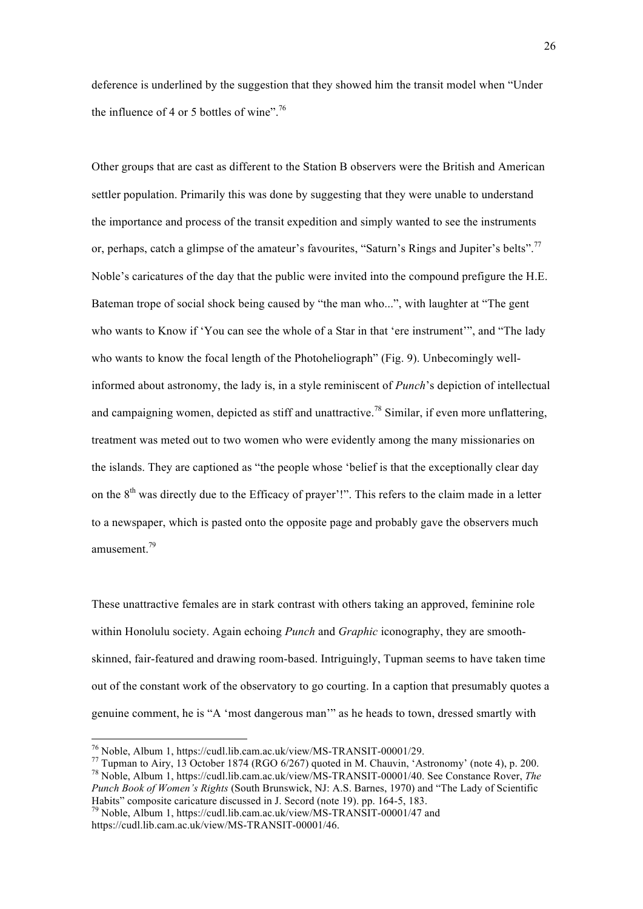deference is underlined by the suggestion that they showed him the transit model when "Under the influence of 4 or 5 bottles of wine".<sup>76</sup>

Other groups that are cast as different to the Station B observers were the British and American settler population. Primarily this was done by suggesting that they were unable to understand the importance and process of the transit expedition and simply wanted to see the instruments or, perhaps, catch a glimpse of the amateur's favourites, "Saturn's Rings and Jupiter's belts".<sup>77</sup> Noble's caricatures of the day that the public were invited into the compound prefigure the H.E. Bateman trope of social shock being caused by "the man who...", with laughter at "The gent who wants to Know if 'You can see the whole of a Star in that 'ere instrument'", and "The lady who wants to know the focal length of the Photoheliograph" (Fig. 9). Unbecomingly wellinformed about astronomy, the lady is, in a style reminiscent of *Punch*'s depiction of intellectual and campaigning women, depicted as stiff and unattractive.<sup>78</sup> Similar, if even more unflattering, treatment was meted out to two women who were evidently among the many missionaries on the islands. They are captioned as "the people whose 'belief is that the exceptionally clear day on the  $8<sup>th</sup>$  was directly due to the Efficacy of prayer'!". This refers to the claim made in a letter to a newspaper, which is pasted onto the opposite page and probably gave the observers much amusement. 79

These unattractive females are in stark contrast with others taking an approved, feminine role within Honolulu society. Again echoing *Punch* and *Graphic* iconography, they are smoothskinned, fair-featured and drawing room-based. Intriguingly, Tupman seems to have taken time out of the constant work of the observatory to go courting. In a caption that presumably quotes a genuine comment, he is "A 'most dangerous man'" as he heads to town, dressed smartly with

<sup>76</sup> Noble, Album 1, https://cudl.lib.cam.ac.uk/view/MS-TRANSIT-00001/29.

<sup>77</sup> Tupman to Airy, 13 October 1874 (RGO 6/267) quoted in M. Chauvin, 'Astronomy' (note 4), p. 200.

<sup>78</sup> Noble, Album 1, https://cudl.lib.cam.ac.uk/view/MS-TRANSIT-00001/40. See Constance Rover, *The Punch Book of Women's Rights* (South Brunswick, NJ: A.S. Barnes, 1970) and "The Lady of Scientific Habits" composite caricature discussed in J. Secord (note 19). pp. 164-5, 183.

 $^{79}$  Noble, Album 1, https://cudl.lib.cam.ac.uk/view/MS-TRANSIT-00001/47 and https://cudl.lib.cam.ac.uk/view/MS-TRANSIT-00001/46.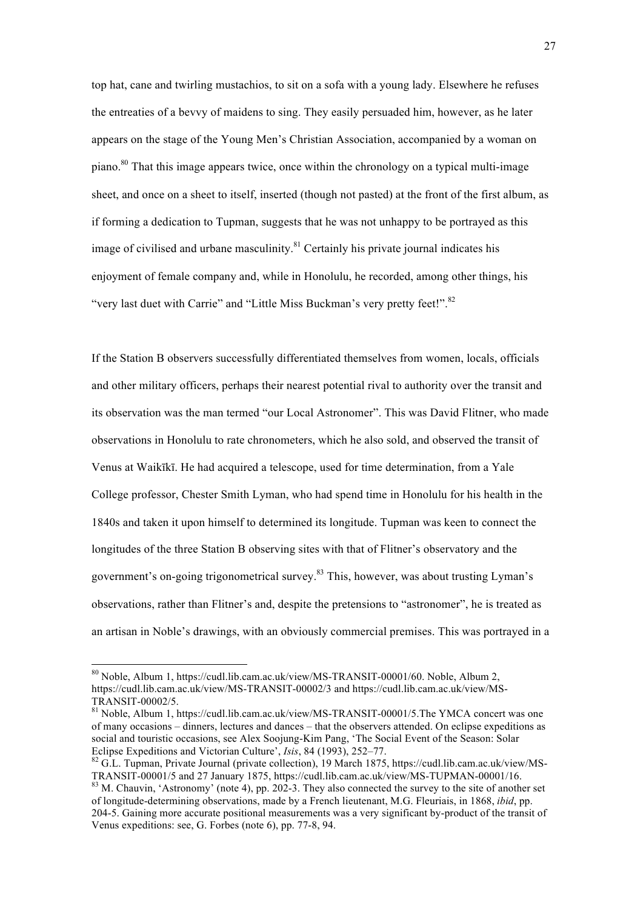top hat, cane and twirling mustachios, to sit on a sofa with a young lady. Elsewhere he refuses the entreaties of a bevvy of maidens to sing. They easily persuaded him, however, as he later appears on the stage of the Young Men's Christian Association, accompanied by a woman on piano. $80$  That this image appears twice, once within the chronology on a typical multi-image sheet, and once on a sheet to itself, inserted (though not pasted) at the front of the first album, as if forming a dedication to Tupman, suggests that he was not unhappy to be portrayed as this image of civilised and urbane masculinity.<sup>81</sup> Certainly his private journal indicates his enjoyment of female company and, while in Honolulu, he recorded, among other things, his "very last duet with Carrie" and "Little Miss Buckman's very pretty feet!".<sup>82</sup>

If the Station B observers successfully differentiated themselves from women, locals, officials and other military officers, perhaps their nearest potential rival to authority over the transit and its observation was the man termed "our Local Astronomer". This was David Flitner, who made observations in Honolulu to rate chronometers, which he also sold, and observed the transit of Venus at Waikīkī. He had acquired a telescope, used for time determination, from a Yale College professor, Chester Smith Lyman, who had spend time in Honolulu for his health in the 1840s and taken it upon himself to determined its longitude. Tupman was keen to connect the longitudes of the three Station B observing sites with that of Flitner's observatory and the government's on-going trigonometrical survey.<sup>83</sup> This, however, was about trusting Lyman's observations, rather than Flitner's and, despite the pretensions to "astronomer", he is treated as an artisan in Noble's drawings, with an obviously commercial premises. This was portrayed in a

<sup>80</sup> Noble, Album 1, https://cudl.lib.cam.ac.uk/view/MS-TRANSIT-00001/60. Noble, Album 2, https://cudl.lib.cam.ac.uk/view/MS-TRANSIT-00002/3 and https://cudl.lib.cam.ac.uk/view/MS-TRANSIT-00002/5.

<sup>81</sup> Noble, Album 1, https://cudl.lib.cam.ac.uk/view/MS-TRANSIT-00001/5.The YMCA concert was one of many occasions – dinners, lectures and dances – that the observers attended. On eclipse expeditions as social and touristic occasions, see Alex Soojung-Kim Pang, 'The Social Event of the Season: Solar Eclipse Expeditions and Victorian Culture', *Isis*, 84 (1993), 252–77.

<sup>82</sup> G.L. Tupman, Private Journal (private collection), 19 March 1875, https://cudl.lib.cam.ac.uk/view/MS-TRANSIT-00001/5 and 27 January 1875, https://cudl.lib.cam.ac.uk/view/MS-TUPMAN-00001/16.

<sup>&</sup>lt;sup>83</sup> M. Chauvin, 'Astronomy' (note 4), pp. 202-3. They also connected the survey to the site of another set of longitude-determining observations, made by a French lieutenant, M.G. Fleuriais, in 1868, *ibid*, pp. 204-5. Gaining more accurate positional measurements was a very significant by-product of the transit of Venus expeditions: see, G. Forbes (note 6), pp. 77-8, 94.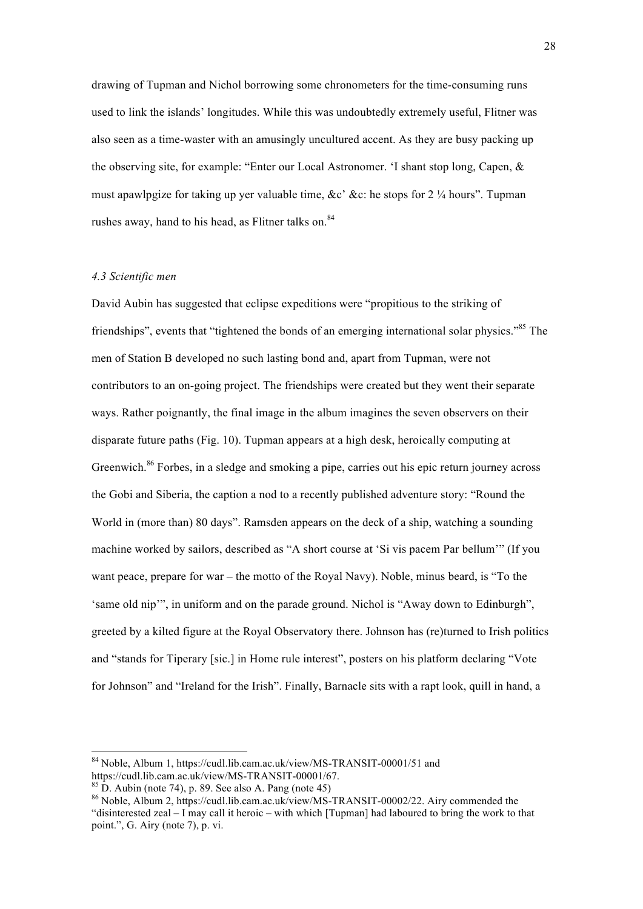drawing of Tupman and Nichol borrowing some chronometers for the time-consuming runs used to link the islands' longitudes. While this was undoubtedly extremely useful, Flitner was also seen as a time-waster with an amusingly uncultured accent. As they are busy packing up the observing site, for example: "Enter our Local Astronomer. 'I shant stop long, Capen, & must apawlpgize for taking up yer valuable time, &c' &c: he stops for 2  $\frac{1}{4}$  hours". Tupman rushes away, hand to his head, as Flitner talks on.<sup>84</sup>

#### *4.3 Scientific men*

David Aubin has suggested that eclipse expeditions were "propitious to the striking of friendships", events that "tightened the bonds of an emerging international solar physics."<sup>85</sup> The men of Station B developed no such lasting bond and, apart from Tupman, were not contributors to an on-going project. The friendships were created but they went their separate ways. Rather poignantly, the final image in the album imagines the seven observers on their disparate future paths (Fig. 10). Tupman appears at a high desk, heroically computing at Greenwich.<sup>86</sup> Forbes, in a sledge and smoking a pipe, carries out his epic return journey across the Gobi and Siberia, the caption a nod to a recently published adventure story: "Round the World in (more than) 80 days". Ramsden appears on the deck of a ship, watching a sounding machine worked by sailors, described as "A short course at 'Si vis pacem Par bellum'" (If you want peace, prepare for war – the motto of the Royal Navy). Noble, minus beard, is "To the 'same old nip'", in uniform and on the parade ground. Nichol is "Away down to Edinburgh", greeted by a kilted figure at the Royal Observatory there. Johnson has (re)turned to Irish politics and "stands for Tiperary [sic.] in Home rule interest", posters on his platform declaring "Vote for Johnson" and "Ireland for the Irish". Finally, Barnacle sits with a rapt look, quill in hand, a

<sup>84</sup> Noble, Album 1, https://cudl.lib.cam.ac.uk/view/MS-TRANSIT-00001/51 and https://cudl.lib.cam.ac.uk/view/MS-TRANSIT-00001/67.

 $85 \text{ D}$ . Aubin (note 74), p. 89. See also A. Pang (note 45)

<sup>86</sup> Noble, Album 2, https://cudl.lib.cam.ac.uk/view/MS-TRANSIT-00002/22. Airy commended the "disinterested zeal – I may call it heroic – with which [Tupman] had laboured to bring the work to that point.", G. Airy (note 7), p. vi.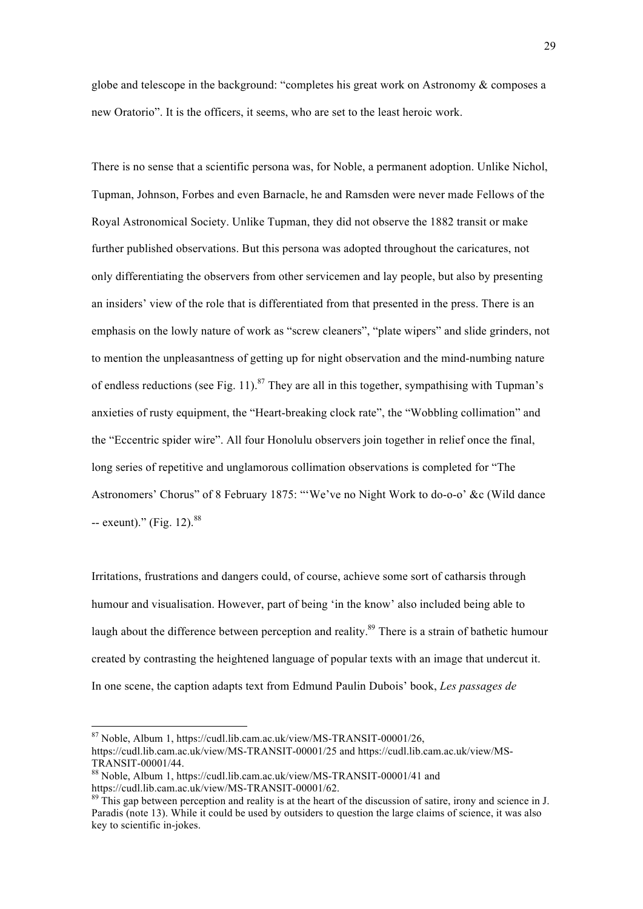globe and telescope in the background: "completes his great work on Astronomy & composes a new Oratorio". It is the officers, it seems, who are set to the least heroic work.

There is no sense that a scientific persona was, for Noble, a permanent adoption. Unlike Nichol, Tupman, Johnson, Forbes and even Barnacle, he and Ramsden were never made Fellows of the Royal Astronomical Society. Unlike Tupman, they did not observe the 1882 transit or make further published observations. But this persona was adopted throughout the caricatures, not only differentiating the observers from other servicemen and lay people, but also by presenting an insiders' view of the role that is differentiated from that presented in the press. There is an emphasis on the lowly nature of work as "screw cleaners", "plate wipers" and slide grinders, not to mention the unpleasantness of getting up for night observation and the mind-numbing nature of endless reductions (see Fig. 11).<sup>87</sup> They are all in this together, sympathising with Tupman's anxieties of rusty equipment, the "Heart-breaking clock rate", the "Wobbling collimation" and the "Eccentric spider wire". All four Honolulu observers join together in relief once the final, long series of repetitive and unglamorous collimation observations is completed for "The Astronomers' Chorus" of 8 February 1875: "'We've no Night Work to do-o-o' &c (Wild dance  $-$  exeunt)." (Fig. 12). $88$ 

Irritations, frustrations and dangers could, of course, achieve some sort of catharsis through humour and visualisation. However, part of being 'in the know' also included being able to laugh about the difference between perception and reality.<sup>89</sup> There is a strain of bathetic humour created by contrasting the heightened language of popular texts with an image that undercut it. In one scene, the caption adapts text from Edmund Paulin Dubois' book, *Les passages de* 

<sup>87</sup> Noble, Album 1, https://cudl.lib.cam.ac.uk/view/MS-TRANSIT-00001/26, https://cudl.lib.cam.ac.uk/view/MS-TRANSIT-00001/25 and https://cudl.lib.cam.ac.uk/view/MS-TRANSIT-00001/44.

<sup>88</sup> Noble, Album 1, https://cudl.lib.cam.ac.uk/view/MS-TRANSIT-00001/41 and https://cudl.lib.cam.ac.uk/view/MS-TRANSIT-00001/62.

 $89$  This gap between perception and reality is at the heart of the discussion of satire, irony and science in J. Paradis (note 13). While it could be used by outsiders to question the large claims of science, it was also key to scientific in-jokes.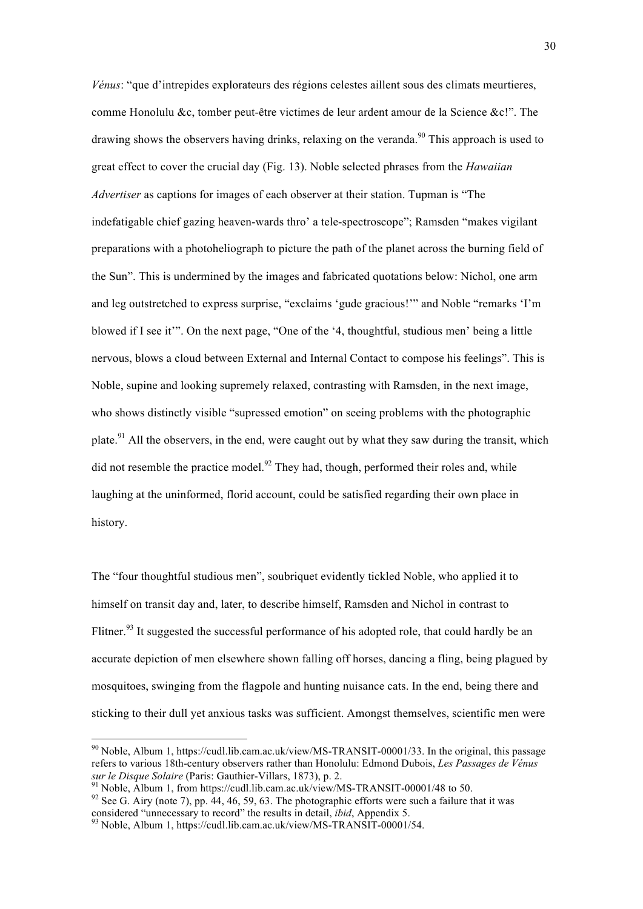*Vénus*: "que d'intrepides explorateurs des régions celestes aillent sous des climats meurtieres, comme Honolulu &c, tomber peut-être victimes de leur ardent amour de la Science &c!". The drawing shows the observers having drinks, relaxing on the veranda.<sup>90</sup> This approach is used to great effect to cover the crucial day (Fig. 13). Noble selected phrases from the *Hawaiian Advertiser* as captions for images of each observer at their station. Tupman is "The indefatigable chief gazing heaven-wards thro' a tele-spectroscope"; Ramsden "makes vigilant preparations with a photoheliograph to picture the path of the planet across the burning field of the Sun". This is undermined by the images and fabricated quotations below: Nichol, one arm and leg outstretched to express surprise, "exclaims 'gude gracious!'" and Noble "remarks 'I'm blowed if I see it'". On the next page, "One of the '4, thoughtful, studious men' being a little nervous, blows a cloud between External and Internal Contact to compose his feelings". This is Noble, supine and looking supremely relaxed, contrasting with Ramsden, in the next image, who shows distinctly visible "supressed emotion" on seeing problems with the photographic plate.<sup>91</sup> All the observers, in the end, were caught out by what they saw during the transit, which did not resemble the practice model.<sup>92</sup> They had, though, performed their roles and, while laughing at the uninformed, florid account, could be satisfied regarding their own place in history.

The "four thoughtful studious men", soubriquet evidently tickled Noble, who applied it to himself on transit day and, later, to describe himself, Ramsden and Nichol in contrast to Flitner.<sup>93</sup> It suggested the successful performance of his adopted role, that could hardly be an accurate depiction of men elsewhere shown falling off horses, dancing a fling, being plagued by mosquitoes, swinging from the flagpole and hunting nuisance cats. In the end, being there and sticking to their dull yet anxious tasks was sufficient. Amongst themselves, scientific men were

<sup>90</sup> Noble, Album 1, https://cudl.lib.cam.ac.uk/view/MS-TRANSIT-00001/33. In the original, this passage refers to various 18th-century observers rather than Honolulu: Edmond Dubois, *Les Passages de Vénus sur le Disque Solaire* (Paris: Gauthier-Villars, 1873), p. 2.

 $^{91}$  Noble, Album 1, from https://cudl.lib.cam.ac.uk/view/MS-TRANSIT-00001/48 to 50.

 $92$  See G. Airy (note 7), pp. 44, 46, 59, 63. The photographic efforts were such a failure that it was considered "unnecessary to record" the results in detail, *ibid*, Appendix 5.

<sup>93</sup> Noble, Album 1, https://cudl.lib.cam.ac.uk/view/MS-TRANSIT-00001/54.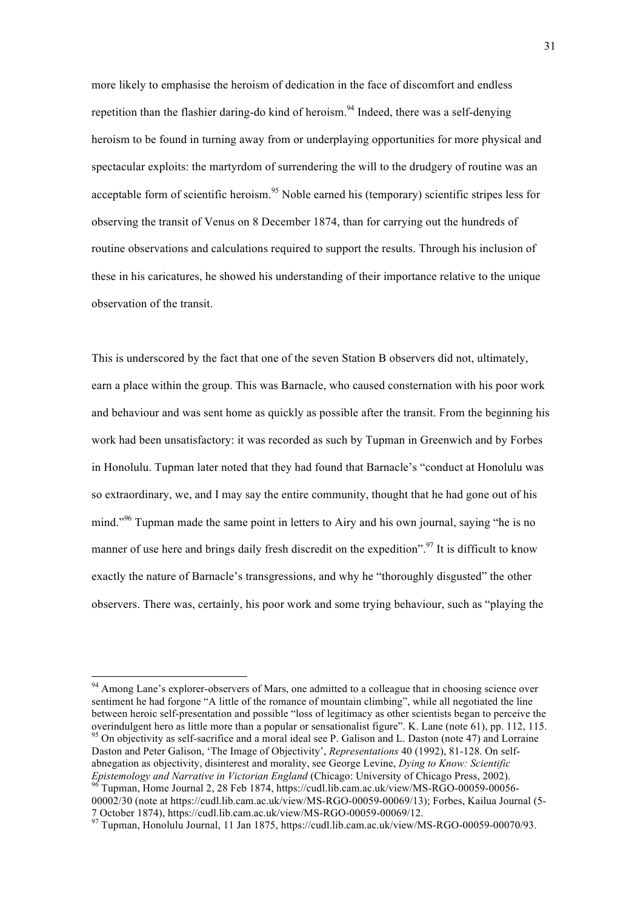more likely to emphasise the heroism of dedication in the face of discomfort and endless repetition than the flashier daring-do kind of heroism.<sup>94</sup> Indeed, there was a self-denying heroism to be found in turning away from or underplaying opportunities for more physical and spectacular exploits: the martyrdom of surrendering the will to the drudgery of routine was an acceptable form of scientific heroism.<sup>95</sup> Noble earned his (temporary) scientific stripes less for observing the transit of Venus on 8 December 1874, than for carrying out the hundreds of routine observations and calculations required to support the results. Through his inclusion of these in his caricatures, he showed his understanding of their importance relative to the unique observation of the transit.

This is underscored by the fact that one of the seven Station B observers did not, ultimately, earn a place within the group. This was Barnacle, who caused consternation with his poor work and behaviour and was sent home as quickly as possible after the transit. From the beginning his work had been unsatisfactory: it was recorded as such by Tupman in Greenwich and by Forbes in Honolulu. Tupman later noted that they had found that Barnacle's "conduct at Honolulu was so extraordinary, we, and I may say the entire community, thought that he had gone out of his mind."<sup>96</sup> Tupman made the same point in letters to Airy and his own journal, saying "he is no manner of use here and brings daily fresh discredit on the expedition".<sup>97</sup> It is difficult to know exactly the nature of Barnacle's transgressions, and why he "thoroughly disgusted" the other observers. There was, certainly, his poor work and some trying behaviour, such as "playing the

!!!!!!!!!!!!!!!!!!!!!!!!!!!!!!!!!!!!!!!!!!!!!!!!!!!!!!!

<sup>95</sup> On objectivity as self-sacrifice and a moral ideal see P. Galison and L. Daston (note 47) and Lorraine Daston and Peter Galison, 'The Image of Objectivity', *Representations* 40 (1992), 81-128. On selfabnegation as objectivity, disinterest and morality, see George Levine, *Dying to Know: Scientific Epistemology and Narrative in Victorian England* (Chicago: University of Chicago Press, 2002).

<sup>96</sup> Tupman, Home Journal 2, 28 Feb 1874, https://cudl.lib.cam.ac.uk/view/MS-RGO-00059-00056- 00002/30 (note at https://cudl.lib.cam.ac.uk/view/MS-RGO-00059-00069/13); Forbes, Kailua Journal (5- 7 October 1874), https://cudl.lib.cam.ac.uk/view/MS-RGO-00059-00069/12.

<sup>&</sup>lt;sup>94</sup> Among Lane's explorer-observers of Mars, one admitted to a colleague that in choosing science over sentiment he had forgone "A little of the romance of mountain climbing", while all negotiated the line between heroic self-presentation and possible "loss of legitimacy as other scientists began to perceive the overindulgent hero as little more than a popular or sensationalist figure". K. Lane (note 61), pp. 112, 115.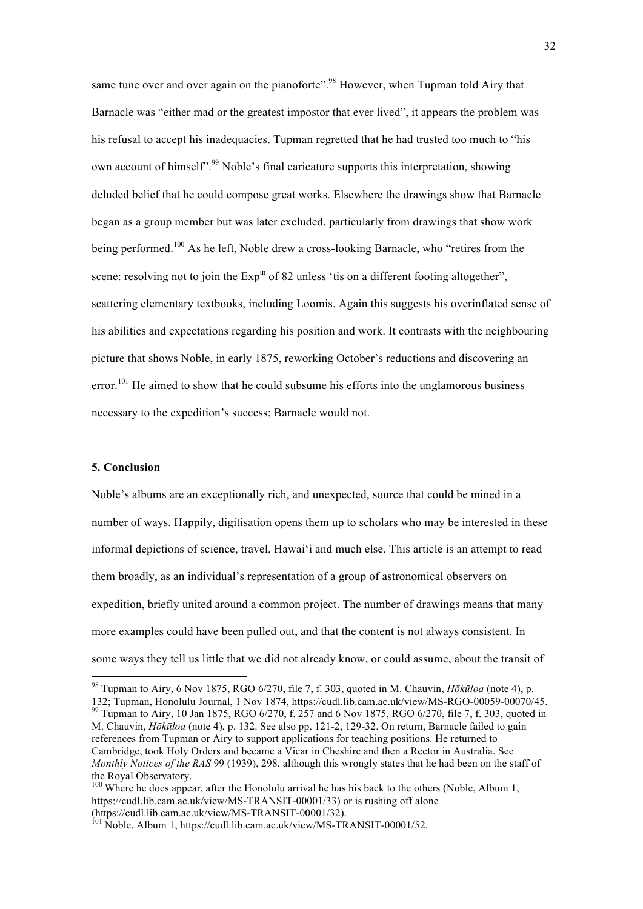same tune over and over again on the pianoforte".<sup>98</sup> However, when Tupman told Airy that Barnacle was "either mad or the greatest impostor that ever lived", it appears the problem was his refusal to accept his inadequacies. Tupman regretted that he had trusted too much to "his own account of himself".<sup>99</sup> Noble's final caricature supports this interpretation, showing deluded belief that he could compose great works. Elsewhere the drawings show that Barnacle began as a group member but was later excluded, particularly from drawings that show work being performed.<sup>100</sup> As he left, Noble drew a cross-looking Barnacle, who "retires from the scene: resolving not to join the  $Exp<sup>tn</sup>$  of 82 unless 'tis on a different footing altogether", scattering elementary textbooks, including Loomis. Again this suggests his overinflated sense of his abilities and expectations regarding his position and work. It contrasts with the neighbouring picture that shows Noble, in early 1875, reworking October's reductions and discovering an error.<sup>101</sup> He aimed to show that he could subsume his efforts into the unglamorous business necessary to the expedition's success; Barnacle would not.

#### **5. Conclusion**

Noble's albums are an exceptionally rich, and unexpected, source that could be mined in a number of ways. Happily, digitisation opens them up to scholars who may be interested in these informal depictions of science, travel, Hawai'i and much else. This article is an attempt to read them broadly, as an individual's representation of a group of astronomical observers on expedition, briefly united around a common project. The number of drawings means that many more examples could have been pulled out, and that the content is not always consistent. In some ways they tell us little that we did not already know, or could assume, about the transit of !!!!!!!!!!!!!!!!!!!!!!!!!!!!!!!!!!!!!!!!!!!!!!!!!!!!!!!

<sup>98</sup> Tupman to Airy, 6 Nov 1875, RGO 6/270, file 7, f. 303, quoted in M. Chauvin, *Hōkūloa* (note 4), p. 132; Tupman, Honolulu Journal, 1 Nov 1874, https://cudl.lib.cam.ac.uk/view/MS-RGO-00059-00070/45. <sup>99</sup> Tupman to Airy, 10 Jan 1875, RGO 6/270, f. 257 and 6 Nov 1875, RGO 6/270, file 7, f. 303, quoted in M. Chauvin, *Hōkūloa* (note 4), p. 132. See also pp. 121-2, 129-32. On return, Barnacle failed to gain references from Tupman or Airy to support applications for teaching positions. He returned to Cambridge, took Holy Orders and became a Vicar in Cheshire and then a Rector in Australia. See *Monthly Notices of the RAS* 99 (1939), 298, although this wrongly states that he had been on the staff of the Royal Observatory.

<sup>&</sup>lt;sup>100</sup> Where he does appear, after the Honolulu arrival he has his back to the others (Noble, Album 1, https://cudl.lib.cam.ac.uk/view/MS-TRANSIT-00001/33) or is rushing off alone (https://cudl.lib.cam.ac.uk/view/MS-TRANSIT-00001/32).

<sup>101</sup> Noble, Album 1, https://cudl.lib.cam.ac.uk/view/MS-TRANSIT-00001/52.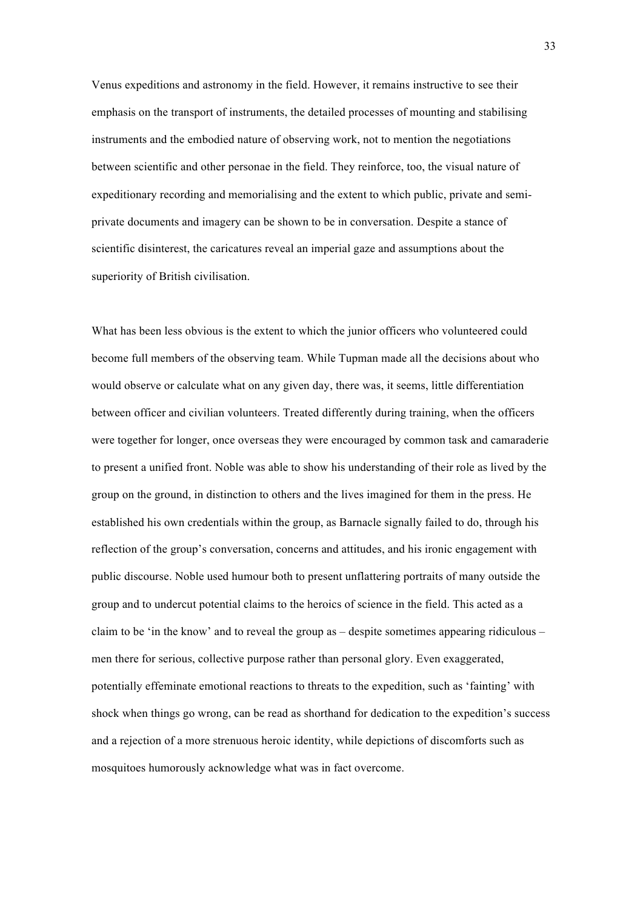Venus expeditions and astronomy in the field. However, it remains instructive to see their emphasis on the transport of instruments, the detailed processes of mounting and stabilising instruments and the embodied nature of observing work, not to mention the negotiations between scientific and other personae in the field. They reinforce, too, the visual nature of expeditionary recording and memorialising and the extent to which public, private and semiprivate documents and imagery can be shown to be in conversation. Despite a stance of scientific disinterest, the caricatures reveal an imperial gaze and assumptions about the superiority of British civilisation.

What has been less obvious is the extent to which the junior officers who volunteered could become full members of the observing team. While Tupman made all the decisions about who would observe or calculate what on any given day, there was, it seems, little differentiation between officer and civilian volunteers. Treated differently during training, when the officers were together for longer, once overseas they were encouraged by common task and camaraderie to present a unified front. Noble was able to show his understanding of their role as lived by the group on the ground, in distinction to others and the lives imagined for them in the press. He established his own credentials within the group, as Barnacle signally failed to do, through his reflection of the group's conversation, concerns and attitudes, and his ironic engagement with public discourse. Noble used humour both to present unflattering portraits of many outside the group and to undercut potential claims to the heroics of science in the field. This acted as a claim to be 'in the know' and to reveal the group as – despite sometimes appearing ridiculous – men there for serious, collective purpose rather than personal glory. Even exaggerated, potentially effeminate emotional reactions to threats to the expedition, such as 'fainting' with shock when things go wrong, can be read as shorthand for dedication to the expedition's success and a rejection of a more strenuous heroic identity, while depictions of discomforts such as mosquitoes humorously acknowledge what was in fact overcome.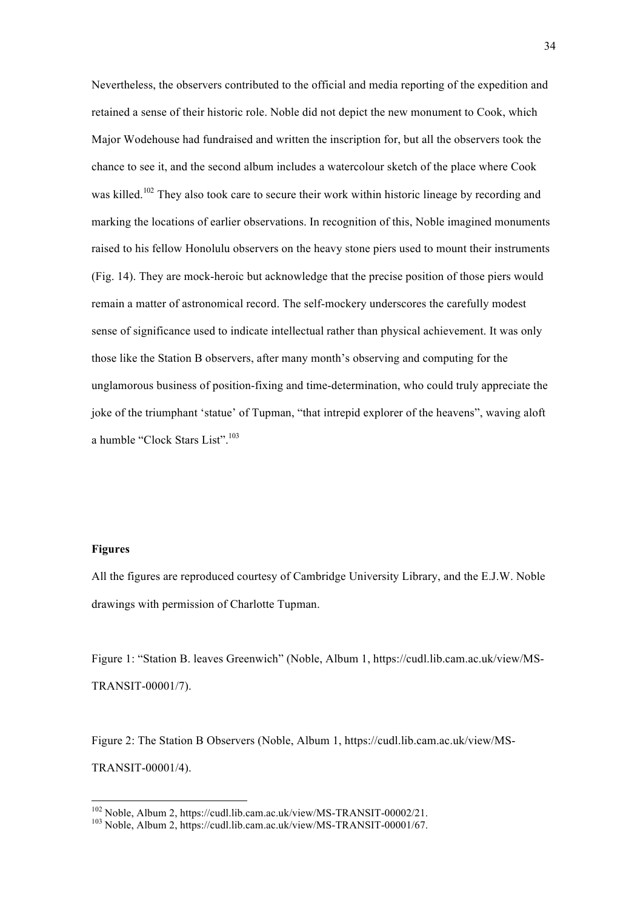Nevertheless, the observers contributed to the official and media reporting of the expedition and retained a sense of their historic role. Noble did not depict the new monument to Cook, which Major Wodehouse had fundraised and written the inscription for, but all the observers took the chance to see it, and the second album includes a watercolour sketch of the place where Cook was killed.<sup>102</sup> They also took care to secure their work within historic lineage by recording and marking the locations of earlier observations. In recognition of this, Noble imagined monuments raised to his fellow Honolulu observers on the heavy stone piers used to mount their instruments (Fig. 14). They are mock-heroic but acknowledge that the precise position of those piers would remain a matter of astronomical record. The self-mockery underscores the carefully modest sense of significance used to indicate intellectual rather than physical achievement. It was only those like the Station B observers, after many month's observing and computing for the unglamorous business of position-fixing and time-determination, who could truly appreciate the joke of the triumphant 'statue' of Tupman, "that intrepid explorer of the heavens", waving aloft a humble "Clock Stars List".<sup>103</sup>

#### **Figures**

All the figures are reproduced courtesy of Cambridge University Library, and the E.J.W. Noble drawings with permission of Charlotte Tupman.

Figure 1: "Station B. leaves Greenwich" (Noble, Album 1, https://cudl.lib.cam.ac.uk/view/MS-TRANSIT-00001/7).

Figure 2: The Station B Observers (Noble, Album 1, https://cudl.lib.cam.ac.uk/view/MS-TRANSIT-00001/4).

<sup>102</sup> Noble, Album 2, https://cudl.lib.cam.ac.uk/view/MS-TRANSIT-00002/21.

<sup>103</sup> Noble, Album 2, https://cudl.lib.cam.ac.uk/view/MS-TRANSIT-00001/67.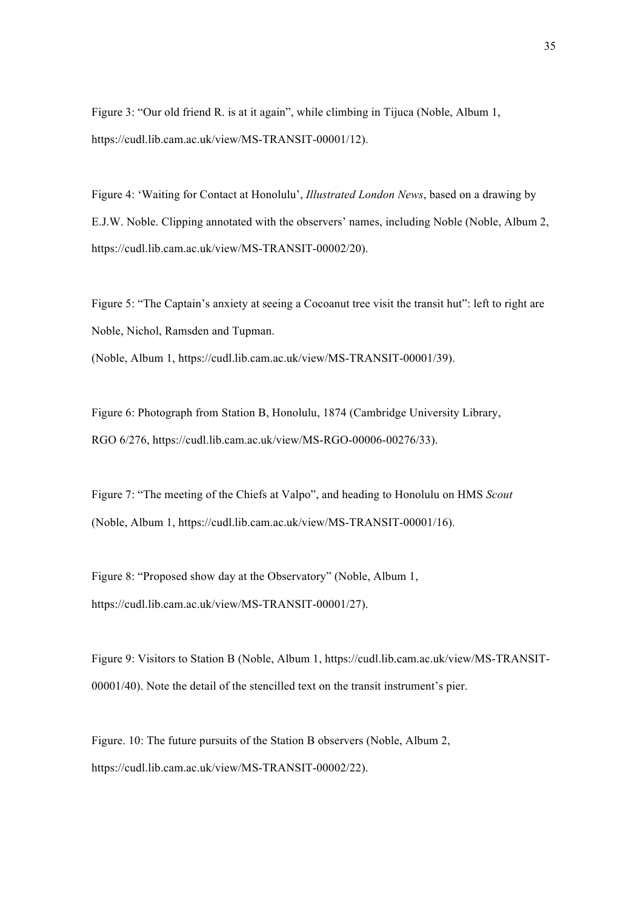Figure 3: "Our old friend R. is at it again", while climbing in Tijuca (Noble, Album 1, https://cudl.lib.cam.ac.uk/view/MS-TRANSIT-00001/12).

Figure 4: 'Waiting for Contact at Honolulu', *Illustrated London News*, based on a drawing by E.J.W. Noble. Clipping annotated with the observers' names, including Noble (Noble, Album 2, https://cudl.lib.cam.ac.uk/view/MS-TRANSIT-00002/20).

Figure 5: "The Captain's anxiety at seeing a Cocoanut tree visit the transit hut": left to right are Noble, Nichol, Ramsden and Tupman.

(Noble, Album 1, https://cudl.lib.cam.ac.uk/view/MS-TRANSIT-00001/39).

Figure 6: Photograph from Station B, Honolulu, 1874 (Cambridge University Library, RGO 6/276, https://cudl.lib.cam.ac.uk/view/MS-RGO-00006-00276/33).

Figure 7: "The meeting of the Chiefs at Valpo", and heading to Honolulu on HMS *Scout* (Noble, Album 1, https://cudl.lib.cam.ac.uk/view/MS-TRANSIT-00001/16).

Figure 8: "Proposed show day at the Observatory" (Noble, Album 1, https://cudl.lib.cam.ac.uk/view/MS-TRANSIT-00001/27).

Figure 9: Visitors to Station B (Noble, Album 1, https://cudl.lib.cam.ac.uk/view/MS-TRANSIT-00001/40). Note the detail of the stencilled text on the transit instrument's pier.

Figure. 10: The future pursuits of the Station B observers (Noble, Album 2, https://cudl.lib.cam.ac.uk/view/MS-TRANSIT-00002/22).